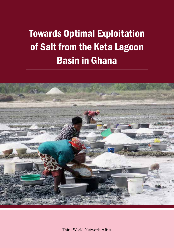# Towards Optimal Exploitation of Salt from the Keta Lagoon Basin in Ghana



Third World Network-Africa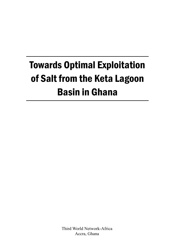# Towards Optimal Exploitation of Salt from the Keta Lagoon Basin in Ghana

Third World Network-Africa Accra, Ghana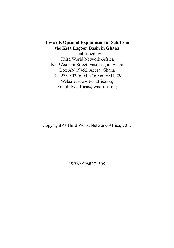#### **Towards Optimal Exploitation of Salt from the Keta Lagoon Basin in Ghana**

is published by Third World Network-Africa No 9 Asmara Street, East Legon, Accra Box AN 19452, Accra, Ghana Tel: 233-302-500419/503669/511189 Website: www.twnafrica.org Email: twnafrica@twnafrica.org

Copyright © Third World Network-Africa, 2017

ISBN: 9988271305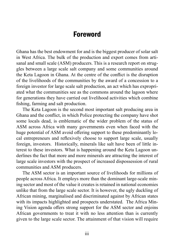### Foreword

Ghana has the best endowment for and is the biggest producer of solar salt in West Africa. The bulk of the production and export comes from artisanal and small scale (ASM) producers. This is a research report on struggles between a large scale salt company and some communities around the Keta Lagoon in Ghana. At the centre of the conflict is the disruption of the livelihoods of the communities by the award of a concession to a foreign investor for large scale salt production, an act which has expropriated what the communities see as the commons around the lagoon where for generations they have carried out livelihood activities which combine fishing, farming and salt production.

The Keta Lagoon is the second most important salt producing area in Ghana and the conflict, in which Police protecting the company have shot some locals dead, is emblematic of the wider problem of the status of ASM across Africa with many governments even when faced with the huge potential of ASM avoid offering support to these predominantly local entrepreneurs and reflexively choose to support large scale, usually foreign, investors. Historically, minerals like salt have been of little interest to these investors. What is happening around the Keta Lagoon underlines the fact that more and more minerals are attracting the interest of large scale investors with the prospect of increased dispossession of rural communities and ASM producers.

The ASM sector is an important source of livelihoods for millions of people across Africa. It employs more than the dominant large-scale mining sector and most of the value it creates is retained in national economies unlike that from the large scale sector. It is however, the ugly duckling of African mining, marginalised and discriminated against by African states with its impacts highlighted and prospects understated. The Africa Mining Vision agenda offers strong support for the ASM sector and enjoins African governments to treat it with no less attention than is currently given to the large scale sector. The attainment of that vision will require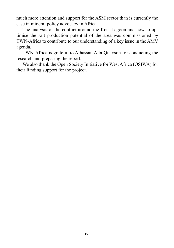much more attention and support for the ASM sector than is currently the case in mineral policy advocacy in Africa.

The analysis of the conflict around the Keta Lagoon and how to optimise the salt production potential of the area was commissioned by TWN-Africa to contribute to our understanding of a key issue in the AMV agenda.

TWN-Africa is grateful to Alhassan Atta-Quayson for conducting the research and preparing the report.

We also thank the Open Society Initiative for West Africa (OSIWA) for their funding support for the project.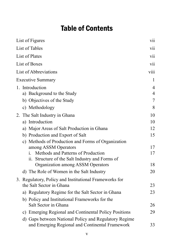# Table of Contents

| List of Figures |                                                                                                                                                                                                                  |                                  |  |
|-----------------|------------------------------------------------------------------------------------------------------------------------------------------------------------------------------------------------------------------|----------------------------------|--|
| List of Tables  |                                                                                                                                                                                                                  |                                  |  |
| List of Plates  |                                                                                                                                                                                                                  |                                  |  |
| List of Boxes   |                                                                                                                                                                                                                  |                                  |  |
|                 | List of Abbreviations                                                                                                                                                                                            | viii                             |  |
|                 | <b>Executive Summary</b>                                                                                                                                                                                         | 1                                |  |
|                 | 1. Introduction<br>a) Background to the Study                                                                                                                                                                    | $\overline{4}$<br>$\overline{4}$ |  |
|                 | b) Objectives of the Study<br>c) Methodology                                                                                                                                                                     | 7<br>8                           |  |
|                 | 2. The Salt Industry in Ghana<br>a) Introduction<br>a) Major Areas of Salt Production in Ghana<br>b) Production and Export of Salt<br>c) Methods of Production and Forms of Organization<br>among ASSM Operators | 10<br>10<br>12<br>15<br>17       |  |
|                 | Methods and Patterns of Production<br>i.<br>ii. Structure of the Salt Industry and Forms of<br>Organization among ASSM Operators                                                                                 | 17<br>18                         |  |
|                 | d) The Role of Women in the Salt Industry<br>3. Regulatory, Policy and Institutional Frameworks for                                                                                                              | 20                               |  |
|                 | the Salt Sector in Ghana                                                                                                                                                                                         | 23                               |  |
|                 | a) Regulatory Regime for the Salt Sector in Ghana<br>b) Policy and Institutional Frameworks for the                                                                                                              | 23                               |  |
|                 | Salt Sector in Ghana                                                                                                                                                                                             | 26                               |  |
|                 | c) Emerging Regional and Continental Policy Positions<br>d) Gaps between National Policy and Regulatory Regime                                                                                                   | 29<br>33                         |  |
|                 | and Emerging Regional and Continental Framework                                                                                                                                                                  |                                  |  |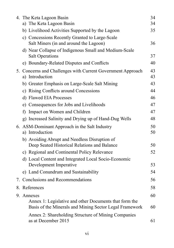|  | 4. The Keta Lagoon Basin                                                                                          | 34       |
|--|-------------------------------------------------------------------------------------------------------------------|----------|
|  | a) The Keta Lagoon Basin                                                                                          | 34       |
|  | b) Livelihood Activities Supported by the Lagoon                                                                  | 35       |
|  | c) Concessions Recently Granted to Large-Scale                                                                    |          |
|  | Salt Miners (in and around the Lagoon)                                                                            | 36       |
|  | d) Near Collapse of Indigenous Small and Medium-Scale<br><b>Salt Operations</b>                                   | 37       |
|  | e) Boundary-Related Disputes and Conflicts                                                                        | 40       |
|  | 5. Concerns and Challenges with Current Government Approach<br>a) Introduction                                    | 43<br>43 |
|  | b) Greater Emphasis on Large-Scale Salt Mining                                                                    | 43       |
|  | c) Rising Conflicts around Concessions                                                                            | 44       |
|  | d) Flawed EIA Processes                                                                                           | 46       |
|  | e) Consequences for Jobs and Livelihoods                                                                          | 47       |
|  | f) Impact on Women and Children                                                                                   | 47       |
|  | g) Increased Salinity and Drying up of Hand-Dug Wells                                                             | 48       |
|  | 6. ASM-Dominant Approach in the Salt Industry<br>a) Introduction                                                  | 50<br>50 |
|  | b) Avoiding Abrupt and Needless Disruption of<br>Deep Seated Historical Relations and Balance                     | 50       |
|  | c) Regional and Continental Policy Relevance                                                                      | 52       |
|  | d) Local Content and Integrated Local Socio-Economic<br>Development Imperative                                    | 53       |
|  | e) Land Conundrum and Sustainability                                                                              | 54       |
|  | 7. Conclusions and Recommendations                                                                                | 56       |
|  | 8. References                                                                                                     | 58       |
|  | 9. Annexes                                                                                                        |          |
|  | Annex 1: Legislative and other Documents that form the<br>Basis of the Minerals and Mining Sector Legal Framework | 60       |
|  | Annex 2: Shareholding Structure of Mining Companies<br>as at December 2015                                        | 61       |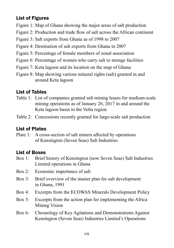#### List of Figures

- Figure 1: Map of Ghana showing the major areas of salt production
- Figure 2: Production and trade flow of salt across the African continent
- Figure 3: Salt exports from Ghana as of 1998 to 2007
- Figure 4: Destination of salt exports from Ghana in 2007
- Figure 5: Percentage of female members of zonal association
- Figure 6: Percentage of women who carry salt to storage facilities
- Figure 7: Keta lagoon and its location on the map of Ghana
- Figure 8: Map showing various mineral rights (salt) granted in and around Keta lagoon

#### List of Tables

- Table 1: List of companies granted salt mining leases for medium-scale mining operations as of January 26, 2017 in and around the Keta lagoon basin in the Volta region
- Table 2: Concessions recently granted for large-scale salt production

#### List of Plates

Plate 1: A cross-section of salt miners affected by operations of Kensington (Seven Seas) Salt Industries

#### List of Boxes

- Box 1: Brief history of Kensington (now Seven Seas) Salt Industries Limited operations in Ghana
- Box 2: Economic importance of salt
- Box 3: Brief overview of the master plan for salt development in Ghana, 1991
- Box 4: Excerpts from the ECOWAS Minerals Development Policy
- Box 5: Excerpts from the action plan for implementing the Africa Mining Vision
- Box 6: Chronology of Key Agitations and Demonstrations Against Kensington (Seven Seas) Industries Limited's Operations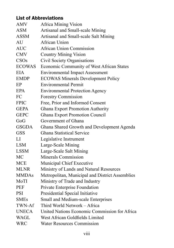#### List of Abbreviations

| <b>AMV</b>    | <b>Africa Mining Vision</b>                     |
|---------------|-------------------------------------------------|
| <b>ASM</b>    | Artisanal and Small-scale Mining                |
| <b>ASSM</b>   | Artisanal and Small-scale Salt Mining           |
| AU            | African Union                                   |
| <b>AUC</b>    | <b>African Union Commission</b>                 |
| <b>CMV</b>    | <b>Country Mining Vision</b>                    |
| CSOs          | Civil Society Organisations                     |
| <b>ECOWAS</b> | Economic Community of West African States       |
| <b>EIA</b>    | <b>Environmental Impact Assessment</b>          |
| <b>EMDP</b>   | <b>ECOWAS Minerals Development Policy</b>       |
| EP            | <b>Environmental Permit</b>                     |
| EPA           | <b>Environmental Protection Agency</b>          |
| FC            | Forestry Commission                             |
| <b>FPIC</b>   | Free, Prior and Informed Consent                |
| <b>GEPA</b>   | Ghana Export Promotion Authority                |
| <b>GEPC</b>   | Ghana Export Promotion Council                  |
| GoG           | Government of Ghana                             |
| <b>GSGDA</b>  | Ghana Shared Growth and Development Agenda      |
| <b>GSS</b>    | <b>Ghana Statistical Service</b>                |
| LI            | Legislative Instrument                          |
| <b>LSM</b>    | Large-Scale Mining                              |
| <b>LSSM</b>   | Large-Scale Salt Mining                         |
| MC            | Minerals Commission                             |
| <b>MCE</b>    | Municipal Chief Executive                       |
| <b>MLNR</b>   | Ministry of Lands and Natural Resources         |
| <b>MMDAs</b>  | Metropolitan, Municipal and District Assemblies |
| MoTI          | Ministry of Trade and Industry                  |
| PEF           | Private Enterprise Foundation                   |
| <b>PSI</b>    | Presidential Special Initiative                 |
| <b>SMEs</b>   | Small and Medium-scale Enterprises              |
| TWN-Af        | Third World Network - Africa                    |
| <b>UNECA</b>  | United Nations Economic Commission for Africa   |
| WAGL          | West African Goldfields Limited                 |
| <b>WRC</b>    | <b>Water Resources Commission</b>               |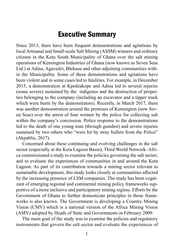# Executive Summary

Since 2013, there have been frequent demonstrations and agitations by local Artisanal and Small-scale Salt Mining (ASSM) winners and ordinary citizens in the Ketu South Municipality of Ghana over the salt mining operations of Kensington Industries of Ghana (now known as Seven Seas Ltd.) at Adina, Agavedzi, Blekusu and other adjoining communities within the Municipality. Some of these demonstrations and agitations have been violent and in some cases led to fatalities. For example, in December 2015, a demonstration at Kpedzakope and Adina led to several injuries (some severe) sustained by the indigenes and the destruction of properties belonging to the company (including an excavator and a tipper truck which were burnt by the demonstrators). Recently, in March 2017, there was another demonstration around the premises of Kensington (now Seven Seas) over the arrest of four women by the police for collecting salt within the company's concession. Police response to the demonstrations led to the death of one young man (through gunshot) and severe injuries sustained by two others who "were hit by stray bullets from the Police" (Akpablie, 2017).

Concerned about these continuing and evolving challenges in the salt sector (especially at the Keta Lagoon Basin), Third World Network–Africa commissioned a study to examine the policies governing the salt sector; and to evaluate the experiences of communities in and around the Keta Lagoon. As part of its contribution towards a mining sector relevant to sustainable development, this study looks closely at communities affected by the increasing presence of LSM companies. The study has been cognizant of emerging regional and continental mining policy frameworks supportive of a more inclusive and participatory mining regime. Efforts by the Government of Ghana to further domesticate principles in those frameworks is also known. The Government is developing a Country Mining Vision (CMV) which is a national version of the Africa Mining Vision (AMV) adopted by Heads of State and Governments in February 2009.

The main goal of the study was to examine the policies and regulatory instruments that govern the salt sector and evaluate the experiences of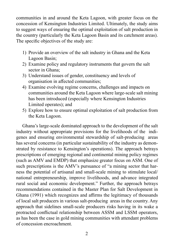communities in and around the Keta Lagoon, with greater focus on the concession of Kensington Industries Limited. Ultimately, the study aims to suggest ways of ensuring the optimal exploitation of salt production in the country (particularly the Keta Lagoon Basin and its catchment areas). The specific objectives of the study are:

- 1) Provide an overview of the salt industry in Ghana and the Keta Lagoon Basin;
- 2) Examine policy and regulatory instruments that govern the salt sector in Ghana;
- 3) Understand issues of gender, constituency and levels of organisation in affected communities;
- 4) Examine evolving regime concerns, challenges and impacts on communities around the Keta Lagoon where large-scale salt mining has been introduced (especially where Kensington Industries Limited operates); and
- 5) Explore how to ensure optimal exploitation of salt production from the Keta Lagoon.

Ghana's large-scale dominated approach to the development of the salt industry without appropriate provisions for the livelihoods of the indigenes and ensuring environmental stewardship of salt-producing areas has several concerns (in particular sustainability of the industry as demonstrated by resistance to Kensington's operations). The approach betrays prescriptions of emerging regional and continental mining policy regimes (such as AMV and EMDP) that emphasize greater focus on ASM. One of such prescriptions is the AMV's pursuance of "a mining sector that harness the potential of artisanal and small-scale mining to stimulate local/ national entrepreneurship, improve livelihoods, and advance integrated rural social and economic development." Further, the approach betrays recommendations contained in the Master Plan for Salt Development in Ghana (1991) which recognizes and affirms the legitimacy of thousands of local salt producers in various salt-producing areas in the country. Any approach that sidelines small-scale producers risks having in its wake a protracted conflictual relationship between ASSM and LSSM operators, as has been the case in gold mining communities with attendant problems of concession encroachment.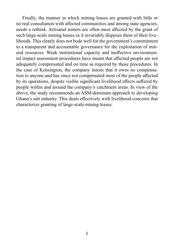Finally, the manner in which mining leases are granted with little or no real consultation with affected communities and among state agencies, needs a rethink. Artisanal miners are often most affected by the grant of such large-scale mining leases as it invariably disposes them of their livelihoods. This clearly does not bode well for the government's commitment to a transparent and accountable governance for the exploitation of mineral resources. Weak institutional capacity and ineffective environmental impact assessment procedures have meant that affected people are not adequately compensated and on time as required by those procedures. In the case of Kensington, the company insists that it owes no compensation to anyone and has since not compensated most of the people affected by its operations, despite visible significant livelihood effects suffered by people within and around the company's catchment areas. In view of the above, the study recommends an ASM-dominant approach to developing Ghana's salt industry. This deals effectively with livelihood concerns that characterize granting of large-scale mining leases.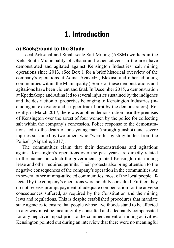# 1. Introduction

#### a) Background to the Study

Local Artisanal and Small-scale Salt Mining (ASSM) workers in the Ketu South Municipality of Ghana and other citizens in the area have demonstrated and agitated against Kensington Industries' salt mining operations since 2013. (See Box 1 for a brief historical overview of the company's operations at Adina, Agavedzi, Blekusu and other adjoining communities within the Municipality.) Some of these demonstrations and agitations have been violent and fatal. In December 2015, a demonstration at Kpedzakope and Adina led to several injuries sustained by the indigenes and the destruction of properties belonging to Kensington Industries (including an excavator and a tipper truck burnt by the demonstrators). Recently, in March 2017, there was another demonstration near the premises of Kensington over the arrest of four women by the police for collecting salt within the company's concession. Police response to the demonstrations led to the death of one young man (through gunshot) and severe injuries sustained by two others who "were hit by stray bullets from the Police" (Akpablie, 2017).

The communities claim that their demonstrations and agitations against Kensington's operations over the past years are directly related to the manner in which the government granted Kensington its mining lease and other required permits. Their protests also bring attention to the negative consequences of the company's operation in the communities. As in several other mining-affected communities, most of the local people affected by the company's operations were not duly consulted. Further, they do not receive prompt payment of adequate compensation for the adverse consequences suffered, as required by the Constitution and the mining laws and regulations. This is despite established procedures that mandate state agencies to ensure that people whose livelihoods stand to be affected in any way must be meaningfully consulted and adequately compensated for any negative impact prior to the commencement of mining activities. Kensington pointed out during an interview that there were no meaningful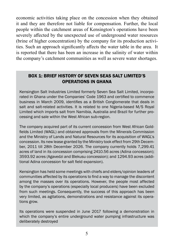economic activities taking place on the concession when they obtained it and they are therefore not liable for compensation. Further, the local people within the catchment areas of Kensington's operations have been severely affected by the unexpected use of underground water resources (brine of higher concentration) by the company for its production activities. Such an approach significantly affects the water table in the area. It is reported that there has been an increase in the salinity of water within the company's catchment communities as well as severe water shortages.

#### BOX 1: BRIEF HISTORY OF SEVEN SEAS SALT LIMITED'S OPERATIONS IN GHANA

Kensington Salt Industries Limited formerly Seven Sea Salt Limited, incorporated in Ghana under the Companies' Code 1963 and certified to commence business in March 2009, identifies as a British Conglomerate that deals in salt and salt-related activities. It is related to one Nigeria-based M/S Royal Limited which imports salt from Namibia, Australia and Brazil for further processing and sale within the West African sub-region.

The company acquired part of its current concession from West African Goldfields Limited (WAGL) and obtained approvals from the Minerals Commission and the Ministry of Lands and Natural Resources for its acquisition of WAGL's concession. Its new lease granted by the Ministry took effect from 29th December, 2011 till 28th December 2026. The company currently holds 7,299.41 acres of land in its concession comprising 2410.56 acres (Adina concession); 3593.92 acres (Agavedzi and Blekusu concession); and 1294.93 acres (additional Adina concession for salt field expansion).

Kensington has held some meetings with chiefs and elders/opinion leaders of communities affected by its operations to find a way to manage the discontent among the masses over its operations. However, the people most affected by the company's operations (especially local producers) have been excluded from such meetings. Consequently, the success of this approach has been very limited, as agitations, demonstrations and resistance against its operations grow.

Its operations were suspended in June 2017 following a demonstration in which the company's entire underground water pumping infrastructure was deliberately destroyed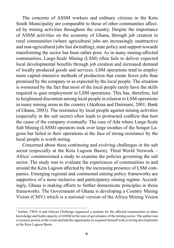The concerns of ASSM workers and ordinary citizens in the Ketu South Municipality are comparable to those of other communities affected by mining activities throughout the country. Despite the importance of ASSM activities on the economy of Ghana, through job creation in rural communities (where agricultural jobs are increasingly unattractive and non-agricultural jobs fast dwindling), state policy and support towards transforming the sector has been rather poor. As in many mining-affected communities, Large-Scale Mining (LSM) often fails to deliver expected local developmental benefits through job creation and increased demand of locally produced goods and services. LSM operations tend to employ more capital-intensive methods of production that create fewer jobs than promised by the company or as expected by the local people. The situation is worsened by the fact that most of the local people rarely have the skills required to gain employment in LSM operations. This has, therefore, led to heightened discontent among local people in relation to LSM operations in many mining areas in the country (Akabzaa and Darimani, 2001; Bank of Ghana, 2003). The resistance by local people against mining activities (especially in the salt sector) often leads to protracted conflicts that hurt the cause of the company eventually. The case of Ada where Large-Scale Salt Mining (LSSM) operators took over large swathes of the Songor Lagoon but failed in their operations at the face of strong resistance by the local people is worth noting.

Concerned about these continuing and evolving challenges in the salt sector (especially at the Keta Lagoon Basin), Third World Network – Africa<sup>1</sup> commissioned a study to examine the policies governing the salt sector. The study was to evaluate the experiences of communities in and around the Keta Lagoon affected by the increasing presence of LSM companies. Emerging regional and continental mining policy frameworks are supportive of a more inclusive and participatory mining regime. Accordingly, Ghana is making efforts to further domesticate principles in those frameworks. The Government of Ghana is developing a Country Mining Vision (CMV) which is a national version of the Africa Mining Vision

<sup>&</sup>lt;sup>1</sup> Earlier, TWN-A and African Challenge organized a seminar for the affected communities to share knowledge and build capacity of ASSM in the area of governance of the mining sector. The author was a resource person at the event and had the opportunity to acquaint himself with evolving developments at the Keta Lagoon Basin.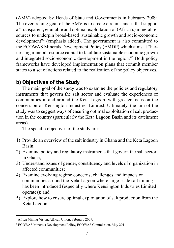(AMV) adopted by Heads of State and Governments in February 2009. The overarching goal of the AMV is to create circumstances that support a "transparent, equitable and optimal exploitation of (Africa's) mineral resources to underpin broad-based sustainable growth and socio-economic development"<sup>2</sup> (emphasis added). The government is also committed to the ECOWAS Minerals Development Policy (EMDP) which aims at "harnessing mineral resource capital to facilitate sustainable economic growth and integrated socio-economic development in the region."<sup>3</sup> Both policy frameworks have developed implementation plans that commit member states to a set of actions related to the realization of the policy objectives.

#### b) Objectives of the Study

The main goal of the study was to examine the policies and regulatory instruments that govern the salt sector and evaluate the experiences of communities in and around the Keta Lagoon, with greater focus on the concession of Kensington Industries Limited. Ultimately, the aim of the study was to suggest ways of ensuring optimal exploitation of salt production in the country (particularly the Keta Lagoon Basin and its catchment areas).

The specific objectives of the study are:

- 1) Provide an overview of the salt industry in Ghana and the Keta Lagoon Basin;
- 2) Examine policy and regulatory instruments that govern the salt sector in Ghana;
- 3) Understand issues of gender, constituency and levels of organization in affected communities;
- 4) Examine evolving regime concerns, challenges and impacts on communities around the Keta Lagoon where large-scale salt mining has been introduced (especially where Kensington Industries Limited operates); and
- 5) Explore how to ensure optimal exploitation of salt production from the Keta Lagoon.

<sup>2</sup> Africa Mining Vision, African Union, February 2009.

<sup>3</sup> ECOWAS Minerals Development Policy, ECOWAS Commission, May 2011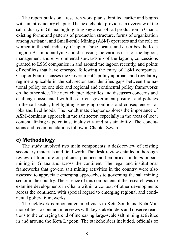The report builds on a research work plan submitted earlier and begins with an introductory chapter. The next chapter provides an overview of the salt industry in Ghana, highlighting key areas of salt production in Ghana, existing forms and patterns of production structure, forms of organization among Artisanal and Small-scale Mining (ASM) operators and the role of women in the salt industry. Chapter Three locates and describes the Keta Lagoon Basin, identifying and discussing the various uses of the lagoon, management and environmental stewardship of the lagoon, concessions granted to LSM companies in and around the lagoon recently, and points of conflicts that have emerged following the entry of LSM companies. Chapter Four discusses the Government's policy approach and regulatory regime applicable in the salt sector and identifies gaps between the national policy on one side and regional and continental policy frameworks on the other side. The next chapter identifies and discusses concerns and challenges associated with the current government position and policies in the salt sector, highlighting emerging conflicts and consequences for jobs and livelihoods. The penultimate chapter explores the importance of ASM-dominant approach in the salt sector, especially in the areas of local content, linkages potentials, inclusivity and sustainability. The conclusions and recommendations follow in Chapter Seven.

#### c) Methodology

The study involved two main components: a desk review of existing secondary materials and field work. The desk review entailed a thorough review of literature on policies, practices and empirical findings on salt mining in Ghana and across the continent. The legal and institutional frameworks that govern salt mining activities in the country were also assessed to appreciate emerging approaches to governing the salt mining sector in the country. The essence of this component of the research was to examine developments in Ghana within a context of other developments across the continent, with special regard to emerging regional and continental policy frameworks.

The fieldwork component entailed visits to Ketu South and Keta Municipalities to conduct interviews with key stakeholders and observe reactions to the emerging trend of increasing large-scale salt mining activities in and around the Keta Lagoon. The stakeholders included, officials of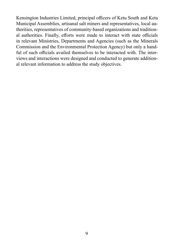Kensington Industries Limited, principal officers of Ketu South and Keta Municipal Assemblies, artisanal salt miners and representatives, local authorities, representatives of community-based organizations and traditional authorities. Finally, efforts were made to interact with state officials in relevant Ministries, Departments and Agencies (such as the Minerals Commission and the Environmental Protection Agency) but only a handful of such officials availed themselves to be interacted with. The interviews and interactions were designed and conducted to generate additional relevant information to address the study objectives.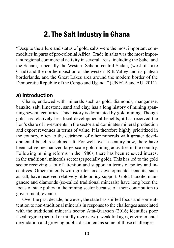# 2. The Salt Industry in Ghana

"Despite the allure and status of gold, salts were the most important commodities in parts of pre-colonial Africa. Trade in salts was the most important regional commercial activity in several areas, including the Sahel and the Sahara, especially the Western Sahara, central Sudan, (west of Lake Chad) and the northern section of the western Rift Valley and its plateau borderlands, and the Great Lakes area around the modern border of the Democratic Republic of the Congo and Uganda" (UNECA and AU, 2011).

#### a) Introduction

Ghana, endowed with minerals such as gold, diamonds, manganese, bauxite, salt, limestone, sand and clay, has a long history of mining spanning several centuries. This history is dominated by gold mining. Though gold has relatively less local developmental benefits, it has received the lion's share of investments in the sector and dominates mineral production and export revenues in terms of value. It is therefore highly prioritized in the country, often to the detriment of other minerals with greater developmental benefits such as salt. For well over a century now, there have been active mechanized large-scale gold mining activities in the country. Following mining reforms in the 1980s, there has been renewed interest in the traditional minerals sector (especially gold). This has led to the gold sector receiving a lot of attention and support in terms of policy and incentives. Other minerals with greater local developmental benefits, such as salt, have received relatively little policy support. Gold, bauxite, manganese and diamonds (so-called traditional minerals) have long been the focus of state policy in the mining sector because of their contribution to government revenue.

Over the past decade, however, the state has shifted focus and some attention to non-traditional minerals in response to the challenges associated with the traditional minerals sector. Atta-Quayson (2016) identifies poor fiscal regime (neutral or mildly regressive), weak linkages, environmental degradation and growing public discontent as some of those challenges.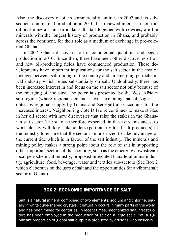Also, the discovery of oil in commercial quantities in 2007 and its subsequent commercial production in 2010, has renewed interest in non-traditional minerals; in particular salt. Salt together with cowries, are the minerals with the longest history of production in Ghana, and probably across the continent, for their role as a medium of exchange in pre-colonial Ghana.

In 2007, Ghana discovered oil in commercial quantities and began production in 2010. Since then, there have been other discoveries of oil and new oil-producing fields have commenced production. These developments have important implications for the salt sector in the area of linkages between salt mining in the country and an emerging petrochemical industry which relies substantially on salt. Undoubtedly, there has been increased interest in and focus on the salt sector not only because of the emerging oil industry. The potentials presented by the West African sub-region (where regional demand – even excluding that of Nigeria – outstrips regional supply by Ghana and Senegal) also accounts for the increased interest. Neighbouring Cote D'Ivoire continues to make strides in her oil sector with new discoveries that raise the stakes in the Ghanaian salt sector. The state is therefore expected, in these circumstances, to work closely with key stakeholders (particularly local salt producers) in the industry to ensure that the sector is modernized to take advantage of the current tide which is in favour of the salt industry. The minerals and mining policy makes a strong point about the role of salt in supporting other important sectors of the economy, such as the emerging downstream local petrochemical industry, proposed integrated bauxite-alumina industry, agriculture, food, beverage, water and textiles sub-sectors (See Box 2 which elaborates on the uses of salt and the opportunities for a vibrant salt sector in Ghana).

#### BOX 2: ECONOMIC IMPORTANCE OF SALT

Salt is a natural mineral composed of two elements: sodium and chlorine, usually in white cube-shaped crystals. It naturally occurs in many parts of the world and has been mined for centuries. In recent times, mechanized salt infrastructure has been employed in the production of salt on a large scale. Yet, a significant proportion of global salt output is produced by artisans who basically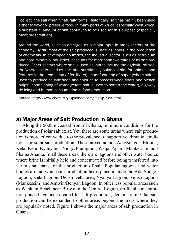"collect" the salt when it naturally forms. Historically, salt has mainly been used either to flavor or preserve food. In many parts of Africa, especially West Africa, a substantial amount of salt continues to be used for this purpose (especially meat preservation).

Around the world, salt has emerged as a major input in many sectors of the economy. By far, most of the salt produced is used as inputs in the production of chemicals. In developed countries, the industrial sector (such as petroleum and hard minerals industries) accounts for more than two-thirds of all salt produced. Other sectors where salt is used as inputs include the agricultural sector (where salt is used as part of a nutritionally balanced diet for animals and features in the production of fertilizers), manufacturing of paper (where salt is used to produce caustic soda and chlorine to process wood fibers and bleach pulps), conditioning of water (where salt is used to soften the water), highway de-icing and human consumption in food production.

Source: http://www.chemistryexplained.com/Ru-Sp/Salt.html

#### a) Major Areas of Salt Production in Ghana

Along the 500km coastal front of Ghana, minimum conditions for the production of solar salt exist. Yet, there are some areas where salt production is more effective due to the prevalence of supportive climatic conditions for solar salt production. These areas include Ada/Songor, Elmina, Keta, Ketu, Nyanyanu, Ningo/Prampram, Weija, Apam, Mankessim, and Shama Ahanta. In all these areas, there are lagoons and other water bodies where brine is initially held and concentrated before being transferred into various salt pans for the production of salt. Popular lagoons and water bodies around which salt production takes place include the Ada Songor Lagoon, Keta Lagoon, Densu Delta area, Nyanya Lagoon, Amisa Lagoon (Mankessim) and Amwin/Benyah Lagoon. In other less popular areas such as Wankam Beach near Biriwa in the Central Region, artificial concentration ponds have been created for salt production, demonstrating that salt production can be expanded to other areas beyond the areas where they are popularly noted. Figure 1 shows the major areas of salt production in Ghana.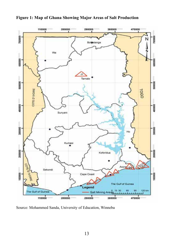

**Figure 1: Map of Ghana Showing Major Areas of Salt Production**

Source: Mohammed Sanda, University of Education, Winneba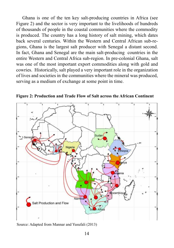Ghana is one of the ten key salt-producing countries in Africa (see Figure 2) and the sector is very important to the livelihoods of hundreds of thousands of people in the coastal communities where the commodity is produced. The country has a long history of salt mining, which dates back several centuries. Within the Western and Central African sub-regions, Ghana is the largest salt producer with Senegal a distant second. In fact, Ghana and Senegal are the main salt-producing countries in the entire Western and Central Africa sub-region. In pre-colonial Ghana, salt was one of the most important export commodities along with gold and cowries. Historically, salt played a very important role in the organization of lives and societies in the communities where the mineral was produced, serving as a medium of exchange at some point in time.



**Figure 2: Production and Trade Flow of Salt across the African Continent**

Source: Adapted from Mannar and Yusufali (2013)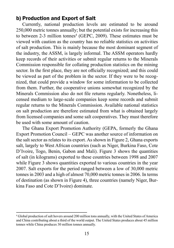#### b) Production and Export of Salt

Currently, national production levels are estimated to be around 250,000 metric tonnes annually; but the potential exists for increasing this to between 2-3 million tonnes<sup>4</sup> (GEPC, 2009). These estimates must be viewed with caution as the country has no reliable statistics on activities of salt production. This is mainly because the most dominant segment of the industry, the ASSM, is largely informal. The ASSM operators hardly keep records of their activities or submit regular returns to the Minerals Commission responsible for collating production statistics on the mining sector. In the first place, they are not officially recognized; and this could be viewed as part of the problem in the sector. If they were to be recognized, that could provide a window for some information to be collected from them. Further, the cooperative unions somewhat recognized by the Minerals Commission also do not file returns regularly. Nonetheless, licensed medium to large-scale companies keep some records and submit regular returns to the Minerals Commission. Available national statistics on salt production are therefore estimated from what is obtained largely from licensed companies and some salt cooperatives. They must therefore be used with some amount of caution.

The Ghana Export Promotion Authority (GEPA, formerly the Ghana Export Promotion Council – GEPC was another source of information on the salt sector as relates to its export. As shown in Figure 2, Ghana exports salt, largely to West African countries (such as Niger, Burkina Faso, Cote D'Ivoire, Togo, Benin, Gabon and Mali). Figure 3 shows the quantities of salt (in kilograms) exported to these countries between 1998 and 2007 while Figure 3 shows quantities exported to various countries in the year 2007. Salt exports for the period ranged between a low of 30,000 metric tonnes in 2003 and a high of almost 70,000 metric tonnes in 2006. In terms of destination (as shown in Figure 4), three countries (namely Niger, Burkina Faso and Cote D'Ivoire) dominate.

<sup>4</sup> Global production of salt hovers around 200 million tons annually, with the United States of America and China contributing about a third of the world output. The United States produces about 45 million tonnes while China produces 30 million tonnes annually.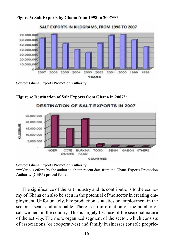**Figure 3: Salt Exports by Ghana from 1998 to 2007\*\*\***



SALT EXPORTS IN KILOGRAMS, FROM 1998 TO 2007

Source: Ghana Exports Promotion Authority



**Figure 4: Destination of Salt Exports from Ghana in 2007\*\*\***

Source: Ghana Exports Promotion Authority

\*\*\*Various efforts by the author to obtain recent data from the Ghana Exports Promotion Authority (GEPA) proved futile.

The significance of the salt industry and its contributions to the economy of Ghana can also be seen in the potential of the sector in creating employment. Unfortunately, like production, statistics on employment in the sector is scant and unreliable. There is no information on the number of salt winners in the country. This is largely because of the seasonal nature of the activity. The more organized segment of the sector, which consists of associations (or cooperatives) and family businesses (or sole proprie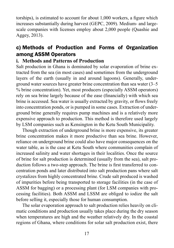torships), is estimated to account for about 1,000 workers, a figure which increases substantially during harvest (GEPC, 2009). Medium- and largescale companies with licenses employ about 2,000 people (Quashie and Aggey, 2013).

#### c) Methods of Production and Forms of Organization among ASSM Operators

#### **i. Methods and Patterns of Production**

Salt production in Ghana is dominated by solar evaporation of brine extracted from the sea (in most cases) and sometimes from the underground layers of the earth (usually in and around lagoons). Generally, underground water sources have greater brine concentration than sea water (3–5 % brine concentration). Yet, most producers (especially ASSM operators) rely on sea brine largely because of the ease (financially) with which sea brine is accessed. Sea water is usually extracted by gravity, or flows freely into concentration ponds, or is pumped in some cases. Extraction of underground brine generally requires pump machines and is a relatively more expensive approach to production. This method is therefore used largely by LSM companies such as Kensington in the Ketu South Municipality.

Though extraction of underground brine is more expensive, its greater brine concentration makes it more productive than sea brine. However, reliance on underground brine could also have major consequences on the water table, as is the case at Ketu South where communities complain of increased salinity and water shortages in their localities. Once the source of brine for salt production is determined (usually from the sea), salt production follows a two-step approach. The brine is first transferred to concentration ponds and later distributed into salt production pans where salt crystalizes from highly concentrated brine. Crude salt produced is washed of impurities before being transported to storage facilities (in the case of ASSM for bagging) or a processing plant (for LSM companies with processing facilities). Both ASSM and LSSM are obliged to iodize the salt before selling it, especially those for human consumption.

The solar evaporation approach to salt production relies heavily on climatic conditions and production usually takes place during the dry season when temperatures are high and the weather relatively dry. In the coastal regions of Ghana, where conditions for solar salt production exist, there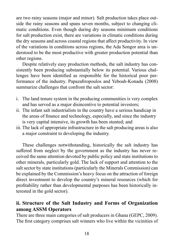are two rainy seasons (major and minor). Salt production takes place outside the rainy seasons and spans seven months, subject to changing climatic conditions. Even though during dry seasons minimum conditions for salt production exist, there are variations in climatic conditions during the dry seasons and across coastal regions that affect productivity. In view of the variations in conditions across regions, the Ada Songor area is understood to be the most productive with greater production potential than other regions.

Despite relatively easy production methods, the salt industry has consistently been producing substantially below its potential. Various challenges have been identified as responsible for the historical poor performance of the industry. Papazafiropoulos and Yeboah-Konadu (2008) summarize challenges that confront the salt sector:

- i. The land tenure system in the producing communities is very complex and has served as a major disincentive to potential investors;
- ii. The infant salt industrialists in the country have a serious handicap in the areas of finance and technology, especially, and since the industry is very capital intensive, its growth has been stunted; and
- iii. The lack of appropriate infrastructure in the salt producing areas is also a major constraint to developing the industry.

These challenges notwithstanding, historically the salt industry has suffered from neglect by the government as the industry has never received the same attention devoted by public policy and state institutions to other minerals, particularly gold. The lack of support and attention to the salt sector by state institutions (particularly the Minerals Commission) can be explained by the Commission's heavy focus on the attraction of foreign direct investment to develop the country's mineral resources (which for profitability rather than developmental purposes has been historically interested in the gold sector).

#### **ii. Structure of the Salt Industry and Forms of Organization among ASSM Operators**

There are three main categories of salt producers in Ghana (GEPC, 2009). The first category comprises salt winners who live within the vicinities of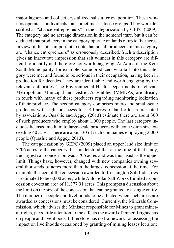major lagoons and collect crystallized salts after evaporation. These winners operate as individuals, but sometimes as loose groups. They were described as "chance entrepreneurs" in the categorization by GEPC (2009). The category had no acreage dimension in the nomenclature, but it can be deduced that producers in the category operate on lands of up to five acres. In view of this, it is important to note that not all producers in this category are "chance entrepreneurs" as erroneously described. Such a description gives an inaccurate impression that salt winners in this category are difficult to identify and therefore not worth engaging. At Adina in the Ketu South Municipality, for example, some producers who fall into this category were met and found to be serious in their occupation, having been in production for decades. They are identifiable and worth engaging by the relevant authorities. The Environmental Health Departments of relevant Metropolitan, Municipal and District Assemblies (MMDAs) are already in touch with many of these producers regarding monitoring iodization of their produce. The second category comprises micro and small-scale producers with right or access to 5–40 acres of land often represented by associations. Quashie and Aggey (2013) estimate there are about 300 of such producers who employ about 1,000 people. The last category includes licensed medium to large-scale producers with concession size exceeding 40 acres. There are about 30 of such companies employing 2,000 people (Quashie and Aggey, 2013).

The categorization by GEPC (2009) placed an upper land size limit of 3706 acres to the category. It is understood that at the time of that study, the largest salt concession was 3706 acres and was thus used as the upper limit. Things have, however, changed with new companies owning several thousands of acres more than the largest concession at the time. For example the size of the concession awarded to Kensington Salt Industries is estimated to be 6,000 acres, while Anlo Solar Salt Works Limited's concession covers an area of 11,377.91 acres. This prompts a discussion about the limit on the size of the concession that can be granted to a single entity. The number of people and livelihoods to be affected when such areas are awarded as concessions must be considered. Currently, the Minerals Commission, which advises the Minister responsible for Mines to grant mineral rights, pays little attention to the effects the award of mineral rights has on people and livelihoods. It therefore has no framework for assessing the impact on livelihoods occasioned by granting of mining leases let alone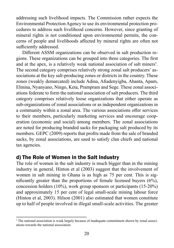addressing such livelihood impacts. The Commission rather expects the Environmental Protection Agency to use its environmental protection procedures to address such livelihood concerns. However, since granting of mineral rights is not conditioned upon environmental permits, the concerns of people and livelihoods affected by mineral rights are often not sufficiently addressed.

Different ASSM organizations can be observed in salt production regions. These organizations can be grouped into three categories. The first and at the apex, is a relatively weak national association of salt miners<sup>5</sup>. The second category comprises relatively strong zonal salt producers' associations at the key salt-producing zones or districts in the country. These zones (weakly demarcated) include Adina, Afiadenyigba, Ahanta, Apam, Elmina, Nyanyano, Ningo, Keta, Prampram and Sege. These zonal associations federate to form the national association of salt producers. The third category comprises relatively loose organizations that either operate as sub-organizations of zonal associations or as independent organizations in a community within a zonal area. The various associations offer services to their members, particularly marketing services and encourage cooperation (economic and social) among members. The zonal associations are noted for producing branded sacks for packaging salt produced by its members. GEPC (2009) reports that profits made from the sale of branded sacks, by zonal associations, are used to satisfy clan chiefs and national tax agencies.

#### d) The Role of Women in the Salt Industry

The role of women in the salt industry is much bigger than in the mining industry in general. Hinton et al (2003) suggest that the involvement of women in salt mining in Ghana is as high as 75 per cent. This is significantly greater than the proportions of female licensed buyers (6%), concession holders (10%), work group sponsors or participants (15-20%) and approximately 15 per cent of legal small-scale mining labour force (Hinton et al, 2003). Hilson (2001) also estimated that women constitute up to half of people involved in illegal small-scale activities. The greater

<sup>&</sup>lt;sup>5</sup> The national association is weak largely because of inadequate commitment shown by zonal associations towards the national association.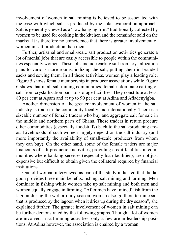involvement of women in salt mining is believed to be associated with the ease with which salt is produced by the solar evaporation approach. Salt is generally viewed as a "low hanging fruit" traditionally collected by women to be used for cooking in the kitchen and the remainder sold on the market. It is therefore no coincidence that there is greater involvement of women in salt production than men.

Further, artisanal and small-scale salt production activities generate a lot of menial jobs that are easily accessible to people within the communities especially women. These jobs include carting salt from crystallization pans to various store rooms, iodizing the salt, putting them in branded sacks and sewing them. In all these activities, women play a leading role. Figure 5 shows female membership in producer associations while Figure 6 shows that in all salt mining communities, females dominate carting of salt from crystallization pans to storage facilities. They constitute at least 80 per cent at Apam and at up to 90 per cent at Adina and Afiadenyigba.

Another dimension of the greater involvement of women in the salt industry is trade in the commodity locally and internationally. There is a sizeable number of female traders who buy and aggregate salt for sale in the middle and northern parts of Ghana. These traders in return procure other commodities (especially foodstuffs) back to the salt-producing areas. Livelihoods of such women largely depend on the salt industry (and more importantly the availability of small-scale producers from whom they can buy). On the other hand, some of the female traders are major financiers of salt production activities, providing credit facilities in communities where banking services (especially loan facilities), are not just expensive but difficult to obtain given the collateral required by financial institutions.

One old woman interviewed as part of the study indicated that the lagoon provides three main benefits: fishing, salt mining and farming. Men dominate in fishing while women take up salt mining and both men and women equally engage in farming. "After men have 'mined' fish from the lagoon during the wet or rainy season, women also go there to mine salt that is produced by the lagoon when it dries up during the dry season", she explained further. The greater involvement of women in salt mining can be further demonstrated by the following graphs. Though a lot of women are involved in salt mining activities, only a few are in leadership positions. At Adina however, the association is chaired by a woman.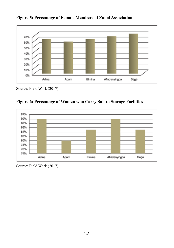

**Figure 5: Percentage of Female Members of Zonal Association**

Source: Field Work (2017)





Source: Field Work (2017)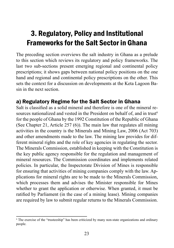# 3. Regulatory, Policy and Institutional Frameworks for the Salt Sector in Ghana

The preceding section overviews the salt industry in Ghana as a prelude to this section which reviews its regulatory and policy frameworks. The last two sub-sections present emerging regional and continental policy prescriptions; it shows gaps between national policy positions on the one hand and regional and continental policy prescriptions on the other. This sets the context for a discussion on developments at the Keta Lagoon Basin in the next section.

#### a) Regulatory Regime for the Salt Sector in Ghana

Salt is classified as a solid mineral and therefore is one of the mineral resources nationalized and vested in the President on behalf of, and in trust<sup>6</sup> for the people of Ghana by the 1992 Constitution of the Republic of Ghana (See Chapter 21, Article 257 (6)). The main law that regulates all mining activities in the country is the Minerals and Mining Law, 2006 (Act 703) and other amendments made to the law. The mining law provides for different mineral rights and the role of key agencies in regulating the sector. The Minerals Commission, established in keeping with the Constitution is the key public agency responsible for the regulation and management of mineral resources. The Commission coordinates and implements related policies. In particular, the Inspectorate Division of Mines is responsible for ensuring that activities of mining companies comply with the law. Applications for mineral rights are to be made to the Minerals Commission, which processes them and advises the Minister responsible for Mines whether to grant the application or otherwise. When granted, it must be ratified by Parliament (in the case of a mining lease). Mining companies are required by law to submit regular returns to the Minerals Commission.

<sup>6</sup> The exercise of the "trusteeship" has been criticized by many non-state organizations and ordinary people.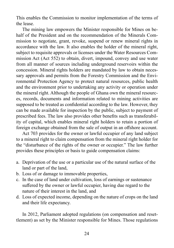This enables the Commission to monitor implementation of the terms of the lease.

The mining law empowers the Minister responsible for Mines on behalf of the President and on the recommendation of the Minerals Commission to negotiate, grant, revoke, suspend or renew mineral rights in accordance with the law. It also enables the holder of the mineral right, subject to requisite approvals or licenses under the Water Resources Commission Act (Act 552) to obtain, divert, impound, convey and use water from all manner of sources including underground reservoirs within the concession. Mineral rights holders are mandated by law to obtain necessary approvals and permits from the Forestry Commission and the Environmental Protection Agency to protect natural resources, public health and the environment prior to undertaking any activity or operation under the mineral right. Although the people of Ghana own the mineral resources, records, documents and information related to mining activities are supposed to be treated as confidential according to the law. However, they can be made available for inspection by the public, subject to payment of prescribed fees. The law also provides other benefits such as transferability of capital, which enables mineral right holders to retain a portion of foreign exchange obtained from the sale of output in an offshore account.

Act 703 provides for the owner or lawful occupier of any land subject to a mineral right to claim compensation from the mineral right holder for the "disturbance of the rights of the owner or occupier." The law further provides these principles or basis to guide compensation claims:

- a. Deprivation of the use or a particular use of the natural surface of the land or part of the land,
- b. Loss of or damage to immovable properties,
- c. In the case of land under cultivation, loss of earnings or sustenance suffered by the owner or lawful occupier, having due regard to the nature of their interest in the land, and
- d. Loss of expected income, depending on the nature of crops on the land and their life expectancy.

In 2012, Parliament adopted regulations (on compensation and resettlement) as set by the Minister responsible for Mines. Those regulations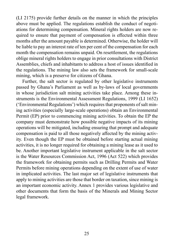(LI 2175) provide further details on the manner in which the principles above must be applied. The regulations establish the conduct of negotiations for determining compensation. Mineral rights holders are now required to ensure that payment of compensation is effected within three months after the amount payable is determined. Otherwise, the holder will be liable to pay an interest rate of ten per cent of the compensation for each month the compensation remains unpaid. On resettlement, the regulations oblige mineral rights holders to engage in prior consultations with District Assemblies, chiefs and inhabitants to address a host of issues identified in the regulations. The mining law also sets the framework for small-scale mining, which is a preserve for citizens of Ghana.

Further, the salt sector is regulated by other legislative instruments passed by Ghana's Parliament as well as by-laws of local governments in whose jurisdiction salt mining activities take place. Among these instruments is the Environmental Assessment Regulations, 1999 (LI 1652) ('Environmental Regulations') which requires that proponents of salt mining activities (especially large-scale operations) obtain an Environmental Permit (EP) prior to commencing mining activities. To obtain the EP the company must demonstrate how possible negative impacts of its mining operations will be mitigated, including ensuring that prompt and adequate compensation is paid to all those negatively affected by the mining activity. Even though the EP must be obtained before starting actual mining activities, it is no longer required for obtaining a mining lease as it used to be. Another important legislative instrument applicable in the salt sector is the Water Resources Commission Act, 1996 (Act 522) which provides the framework for obtaining permits such as Drilling Permits and Water Permits before mining operations depending on the extent of use of water in implicated activities. The last major set of legislative instruments that apply to mining activities are those that border on taxation, since mining is an important economic activity. Annex 1 provides various legislative and other documents that form the basis of the Minerals and Mining Sector legal framework.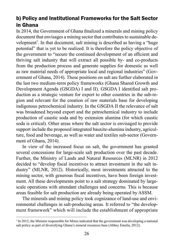### b) Policy and Institutional Frameworks for the Salt Sector in Ghana

In 2014, the Government of Ghana finalized a minerals and mining policy document that envisages a mining sector that contributes to sustainable development<sup>7</sup>. In that document, salt mining is described as having a "huge potential" that is yet to be realized. It is therefore the policy objective of the government to "secure the continued development of an efficient and thriving salt industry that will extract all possible by- and co-products from the production process and generate supplies for domestic as well as raw material needs of appropriate local and regional industries" (Government of Ghana, 2014). These positions on salt are further elaborated in the last two medium-term policy frameworks (Ghana Shared Growth and Development Agenda (GSGDA) I and II). GSGDA I identified salt production as a strategic venture for export to other countries in the sub-region and relevant for the creation of raw materials base for developing indigenous petrochemical industry. In the GSGDA II the relevance of salt was broadened beyond export and the petrochemical industry to include production of caustic soda and by extension alumina (for which caustic soda is critical). Other areas where the salt sector is envisaged to provide support include the proposed integrated bauxite-alumina industry, agriculture, food and beverage, as well as water and textiles sub-sector (Government of Ghana, 2014).

In view of the increased focus on salt, the government has granted several concessions for large-scale salt production over the past decade. Further, the Ministry of Lands and Natural Resources (MLNR) in 2012 decided to "develop fiscal incentives to attract investment in the salt industry" (MLNR, 2012). Historically, most investments attracted to the mining sector, with generous fiscal incentives, have been foreign investment. All these developments point to a salt strategy dominated by largescale operations with attendant challenges and concerns. This is because areas feasible for salt production are already being operated by ASSM.

The minerals and mining policy took cognizance of land-use and environmental challenges in salt-producing areas. It referred to "the development framework" which will include the establishment of appropriate

<sup>7</sup> In 2012, the Minister responsible for Mines indicated that the government was developing a national salt policy as part of diversifying Ghana's mineral resources base (Abbey Emelia, 2012).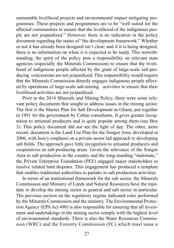sustainable livelihood projects and environmental impact mitigating programmes. These projects and programmes are to be "well suited for the affected communities to ensure that the livelihood of the indigenous people are not jeopardized." However, there is no indication in the policy document regarding the status of "the development framework." Whether or not it has already been designed isn't clear; and if it is being designed, there is no information on when it is expected to be ready. This notwithstanding, the spirit of the policy puts a responsibility on relevant state agencies (especially the Minerals Commission) to ensure that the livelihood of indigenous people affected by the grant of large-scale salt-producing concessions are not jeopardized. This responsibility would require that the Minerals Commission directly engages indigenous people affected by operations of large-scale salt-mining activities to ensure that their livelihood activities are not jeopardized.

Prior to the 2014 Minerals and Mining Policy, there were some relevant policy documents that sought to address issues in the mining sector. The first is the Master Plan for Salt Development in Ghana, put together in 1991 for the government by Cuban consultants. It gives greater recognition to artisanal producers and is quite popular among them (see Box 3). This policy document did not see the light of day. The other, more recent, document is the Land Use Plan for the Songor Area, developed in 2006, with heavy emphasis on a private sector led approach to developing salt fields. The approach gave little recognition to artisanal producers and cooperatives in salt-producing areas. Given the relevance of the Songor Area to salt production in the country and the long-standing "stalemate," the Private Enterprise Foundation (PEF) engaged major stakeholders to resolve related land disputes. This engagement has produced a template that enables traditional authorities to partake in salt production activities.

In terms of an institutional framework for the salt sector, the Minerals Commission and Ministry of Lands and Natural Resources have the mandate to develop the mining sector in general and salt sector in particular. The previous section on the regulatory regime indicated roles performed by the Minerals Commission and the ministry. The Environmental Protection Agency (EPA Act 490) is also responsible for ensuring that all investment and undertakings in the mining sector comply with the highest level of environmental standards. There is also the Water Resources Commission (WRC) and the Forestry Commission (FC) which must issue a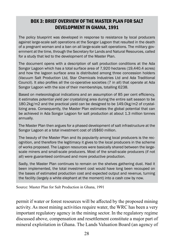#### BOX 3: BRIEF OVERVIEW OF THE MASTER PLAN FOR SALT DEVELOPMENT IN GHANA, 1991

The policy blueprint was developed in response to resistance by local producers against large-scale salt operations at the Songor Lagoon that resulted in the death of a pregnant woman and a ban on all large-scale salt operations. The military government at the time, through the Secretary for Lands and Natural Resources, called for a study that led to the development of the Master Plan.

The document opens with a description of salt production conditions at the Ada Songor Lagoon which has a total surface area of 7,920 hectares (19,440.4 acres) and how the lagoon surface area is distributed among three concession holders (Vacuum Salt Production Ltd, Star Chemicals Industries Ltd and Ada Traditional Council). It also profiles all the co-operative societies (7 in all) that operate at Ada Songor Lagoon with the size of their memberships, totalling 6238.

Based on meteorological indications and an assumption of 85 per cent efficiency, it estimates potential yield per crystalizing area during the entire salt season to be 180.2kg/m2 and the practical yield can be designed to be 149.0kg/m2 of crystallizing area. Consequently, the Master Plan estimates the global potential that can be achieved in Ada Songor Lagoon for salt production at about 1.3 million tonnes annually.

The Master Plan then argues for a phased development of salt infrastructure at the Songor Lagoon at a total investment cost of US\$60 million.

The beauty of the Master Plan and its popularity among local producers is the recognition, and therefore the legitimacy it gives to the local producers in the scheme of works proposed. The Lagoon resources were basically shared between the largescale miners and small-scale producers. Most of the small-scale producers (if not all) were guaranteed continued and more productive production.

Sadly, the Master Plan continues to remain on the shelves gathering dust. Had it been implemented, the total investment cost would have long been recouped on the bases of estimated production cost and expected output and revenue, turning the facility (largely a white elephant at the moment) into a cash cow by now.

Source: Master Plan for Salt Production in Ghana, 1991

permit if water or forest resources will be affected by the proposed mining activity. As most mining activities require water, the WRC has been a very important regulatory agency in the mining sector. In the regulatory regime discussed above, compensation and resettlement constitute a major part of mineral exploitation in Ghana. The Lands Valuation Board (an agency of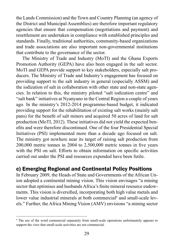the Lands Commission) and the Town and Country Planning (an agency of the District and Municipal Assemblies) are therefore important regulatory agencies that ensure that compensation (negotiations and payment) and resettlement are undertaken in compliance with established principles and standards. Finally, traditional authorities, community-based organizations and trade associations are also important non-governmental institutions that contribute to the governance of the sector.

The Ministry of Trade and Industry (MoTI) and the Ghana Exports Promotion Authority (GEPA) have also been engaged in the salt sector. MoTI and GEPA provide support to key stakeholders, especially salt producers. The Ministry of Trade and Industry's engagement has focused on providing support to the salt industry in general (especially ASSM) and the iodization of salt in collaboration with other state and non-state agencies. In relation to this, the ministry piloted "salt iodization centre" and "salt bank" initiatives at Nyanyano in the Central Region a couple of years ago. In the ministry's 2012-2014 programme-based budget, it indicated providing support for the rehabilitation of existing salt works (mainly salt pans) for the benefit of salt miners and acquired 50 acres of land for salt production (MoTI, 2012). These initiatives did not yield the expected benefits and were therefore discontinued. One of the four Presidential Special Initiatives (PSI) implemented more than a decade ago focused on salt. The ministry got nowhere near its target of raising salt production from 200,000 metric tonnes in 2004 to 2,500,000 metric tonnes in five years with the PSI on salt. Efforts to obtain information on specific activities carried out under the PSI and resources expended have been futile.

#### c) Emerging Regional and Continental Policy Positions

In February 2009, the Heads of State and Governments of the African Union adopted a continental mining vision. This vision envisages "a mining sector that optimises and husbands Africa's finite mineral resource endowments. This vision is diversified, incorporating both high value metals and lower value industrial minerals at both commercial<sup>8</sup> and small-scale levels." Further, the Africa Mining Vision (AMV) envisions "a mining sector

<sup>&</sup>lt;sup>8</sup> The use of the word commercial separately from small-scale operations unfortunately appears to support the view that small-scale activities are not commercial.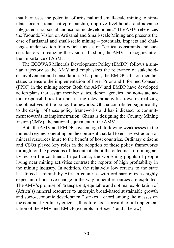that harnesses the potential of artisanal and small-scale mining to stimulate local/national entrepreneurship, improve livelihoods, and advance integrated rural social and economic development." The AMV references the Yaoundé Vision on Artisanal and Small-scale Mining and presents the case of artisanal and small-scale mining – potentials, impacts and challenges under section four which focuses on "critical constraints and success factors in realizing the vision." In short, the AMV is recognizant of the importance of ASM.

The ECOWAS Minerals Development Policy (EMDP) follows a similar trajectory as the AMV and emphasizes the relevance of stakeholder involvement and consultation. At a point, the EMDP calls on member states to ensure the implementation of Free, Prior and Informed Consent (FPIC) in the mining sector. Both the AMV and EMDP have developed action plans that assign member states, donor agencies and non-state actors responsibilities for undertaking relevant activities towards realizing the objectives of the policy frameworks. Ghana contributed significantly to the design of these policy frameworks and has indicated its commitment towards its implementation. Ghana is designing the Country Mining Vision (CMV), the national equivalent of the AMV.

Both the AMV and EMDP have emerged, following weaknesses in the mineral regimes operating on the continent that fail to ensure extraction of mineral resources inure to the benefit of host countries. Ordinary citizens and CSOs played key roles in the adoption of these policy frameworks through loud expressions of discontent about the outcomes of mining activities on the continent. In particular, the worsening plights of people living near mining activities contrast the reports of high profitability in the mining industry. In addition, the relatively low returns to the state has forced a rethink by African countries with ordinary citizens highly expectant of positive change in the way mineral resources are exploited. The AMV's promise of "transparent, equitable and optimal exploitation of (Africa's) mineral resources to underpin broad-based sustainable growth and socio-economic development" strikes a chord among the masses on the continent. Ordinary citizens, therefore, look forward to full implementation of the AMV and EMDP (excerpts in Boxes 4 and 5 below).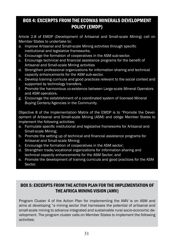#### BOX 4: EXCERPTS FROM THE ECOWAS MINERALS DEVELOPMENT POLICY (EMDP)

Article 2.8 of EMDP (Development of Artisanal and Small-scale Mining) call on Member States to undertake to:

- a. Improve Artisanal and Small-scale Mining activities through specific institutional and legislative frameworks.
- b. Encourage the formation of cooperatives in the ASM sub-sector.
- c. Encourage technical and financial assistance programs for the benefit of Artisanal and Small-scale Mining activities
- d. Strengthen professional organizations for information sharing and technical capacity enhancements for the ASM sub-sector.
- e. Develop training curricula and good practices relevant to the social context and supported by technology transfers.
- f. Promote the harmonious co-existence between Large-scale Mineral Operators and ASM operators.
- g. Encourage the establishment of a coordinated system of licensed Mineral Buying Centers/Agencies in the Community.

Objective 8 of the Implementation Matrix of the EMDP is to "Promote the Development of Artisanal and Small-scale Mining (ASM) and oblige Member States to implement the following activities:

- a. Formulate specific institutional and legislative frameworks for Artisanal and Small-scale Mining;
- b. Promote the setting up of technical and financial assistance programs for Artisanal and Small-scale Mining;
- c. Encourage the formation of cooperatives in the ASM sector;
- d. Strengthen trade/vocational organizations for information sharing and technical capacity enhancements for the ASM Sector; and
- e. Promote the development of training curricula and good practices for the ASM Sector.

#### BOX 5: EXCERPTS FROM THE ACTION PLAN FOR THE IMPLEMENTATION OF THE AFRICA MINING VISION (AMV)

Program Cluster 4 of the Action Plan for implementing the AMV is on ASM and aims at developing "a mining sector that harnesses the potential of artisanal and small-scale mining to advance integrated and sustainable rural socio-economic development. The program cluster calls on Member States to implement the following activities: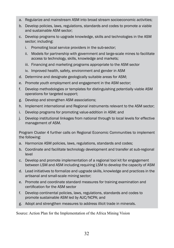- a. Regularize and mainstream ASM into broad stream socioeconomic activities;
- b. Develop policies, laws, regulations, standards and codes to promote a viable and sustainable ASM sector;
- c. Develop programs to upgrade knowledge, skills and technologies in the ASM sector; including:
	- i. Promoting local service providers in the sub-sector;
	- ii. Models for partnership with government and large-scale mines to facilitate access to technology, skills, knowledge and markets;
	- iii. Financing and marketing programs appropriate to the ASM sector
	- iv. Improved health, safety, environment and gender in ASM
- d. Determine and designate geologically suitable areas for ASM;
- e. Promote youth employment and engagement in the ASM sector;
- f. Develop methodologies or templates for distinguishing potentially viable ASM operations for targeted support;
- g. Develop and strengthen ASM associations;
- h. Implement international and Regional instruments relevant to the ASM sector;
- i. Develop programs for promoting value-addition in ASM; and
- j. Develop institutional linkages from national through to local levels for effective management of ASM.

Program Cluster 4 further calls on Regional Economic Communities to implement the following:

- a. Harmonize ASM policies, laws, regulations, standards and codes;
- b. Coordinate and facilitate technology development and transfer at sub-regional level
- c. Develop and promote implementation of a regional tool kit for engagement between LSM and ASM including requiring LSM to develop the capacity of ASM
- d. Lead initiatives to formalize and upgrade skills, knowledge and practices in the artisanal and small-scale mining sector;
- e. Promote and coordinate standard measures for training examination and certification for the ASM sector
- f. Develop continental policies, laws, regulations, standards and codes to promote sustainable ASM led by AUC/NCPA; and
- g. Adopt and strengthen measures to address illicit trade in minerals.

Source: Action Plan for the Implementation of the Africa Mining Vision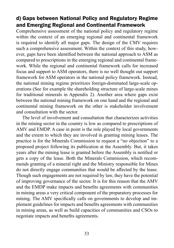### d) Gaps between National Policy and Regulatory Regime and Emerging Regional and Continental Framework

Comprehensive assessment of the national policy and regulatory regime within the context of an emerging regional and continental framework is required to identify all major gaps. The design of the CMV requires such a comprehensive assessment. Within the context of this study, however, gaps have been identified between the national approach to ASM as compared to prescriptions in the emerging regional and continental framework. While the regional and continental framework calls for increased focus and support to ASM operators, there is no well thought out support framework for ASM operators in the national policy framework. Instead, the national mining regime prioritizes foreign-dominated large-scale operations (See for example the shareholding structure of large-scale mines for traditional minerals in Appendix 2). Another area where gaps exist between the national mining framework on one hand and the regional and continental mining framework on the other is stakeholder involvement and consultation with the sector.

The level of involvement and consultation that characterizes activities in the mining sector in the country is low as compared to prescriptions of AMV and EMDP. A case in point is the role played by local governments and the extent to which they are involved in granting mining leases. The practice is for the Minerals Commission to request a "no objection" to a proposed project following its publication at the Assembly. But, it takes years after the mining lease is granted before the Assembly is notified or gets a copy of the lease. Both the Minerals Commission, which recommends granting of a mineral right and the Ministry responsible for Mines do not directly engage communities that would be affected by the lease. Though such engagements are not required by law, they have the potential of improving governance of the sector. It is for this reason that the AMV and the EMDP make impacts and benefits agreements with communities in mining areas a very critical component of the preparatory processes for mining. The AMV specifically calls on governments to develop and implement guidelines for impacts and benefits agreements with communities in mining areas, as well as build capacities of communities and CSOs to negotiate impacts and benefits agreements.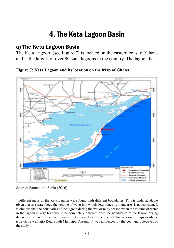## 4. The Keta Lagoon Basin

### a) The Keta Lagoon Basin

The Keta Lagoon<sup>9</sup> (see Figure 7) is located on the eastern coast of Ghana and is the largest of over 90 such lagoons in the country. The lagoon has

**Figure 7: Keta Lagoon and its location on the Map of Ghana**



Source: Sanusi and Sarfo (2016)

<sup>9</sup> Different maps of the Keta Lagoon were found with different boundaries. This is understandable given that as a water body the volume of water in it which determines its boundaries is not constant. It is obvious that the boundaries of the lagoon during the wet or rainy season when the volume of water in the lagoon is very high would be completely different from the boundaries of the lagoon during dry season when the volume of water in it is very low. The choice of this version of maps available (stretching well into Ketu South Municipal Assembly) was influenced by the goal and objectives of the study.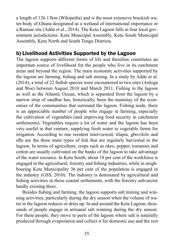a length of 126.13km (Wikipedia) and is the most extensive brackish water-body of Ghana designated as a wetland of international importance or a Ramsar site (Addo et al., 2014). The Keta Lagoon falls in four local government jurisdictions: Keta Municipal Assembly, Ketu South Municipal Assembly, Ketu North and South Tongu Districts.

#### b) Livelihood Activities Supported by the Lagoon

The lagoon supports different forms of life and therefore constitutes an important source of livelihood for the people who live in its catchment areas and beyond the region. The main economic activities supported by the lagoon are farming, fishing and salt mining. In a study by Addo et al. (2014), a total of 22 finfish species were encountered in two sites (Anloga and Woe) between August 2010 and March 2011. Fishing in the lagoon as well as the Atlantic Ocean, which is separated from the lagoon by a narrow strip of sandbar has, historically, been the mainstay of the economies of the communities that surround the lagoon. Fishing aside, there is an appreciable number of people who engage in farming, especially the cultivation of vegetables (and improving food security in catchment settlements). Vegetables require a lot of water and the lagoon has been very useful in that venture, supplying fresh water to vegetable farms for irrigation. According to one resident interviewed, tilapia, gbovilolo and eflo are the three main types of fish that are regularly harvested in the lagoon. In terms of agriculture, crops such as okro, pepper, tomatoes and cotton are usually cultivated on the banks of the lagoon to take advantage of the water resource. In Ketu South, about 18 per cent of the workforce is engaged in the agricultural, forestry and fishing industries, while in neighbouring Keta Municipality 36 per cent of the population is engaged in the industry (GSS, 2010). The industry is dominated by agricultural and fishing activities in these coastal settlements, with the forestry sub-sector hardly existing there.

Besides fishing and farming, the lagoon supports salt mining and winning activities, particularly during the dry season when the volume of water in the lagoon reduces or dries up. In and around the Keta Lagoon, thousands of people engage in artisanal salt winning during the dry season. For these people, they move to parts of the lagoon where salt is naturally produced through evaporation and collect it for domestic use and the rest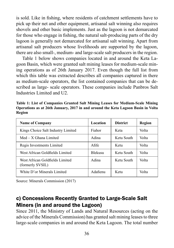is sold. Like in fishing, where residents of catchment settlements have to pick up their net and other equipment, artisanal salt winning also requires shovels and other basic implements. Just as the lagoon is not demarcated for those who engage in fishing, the natural salt-producing parts of the dry lagoon is generally not demarcated for artisanal salt winning. Apart from artisanal salt producers whose livelihoods are supported by the lagoon, there are also small-, medium- and large-scale salt producers in the region.

Table 1 below shows companies located in and around the Keta Lagoon Basin, which were granted salt mining leases for medium-scale mining operations as of 26th January 2017. Even though the full list from which this table was extracted describes all companies captured in there as medium-scale operators, the list contained companies that can be described as large- scale operators. These companies include Panbros Salt Industries Limited and U2.

**Table 1: List of Companies Granted Salt Mining Leases for Medium-Scale Mining Operations as at 26th January, 2017 in and around the Keta Lagoon Basin in Volta Region**

| <b>Name of Company</b>                              | Location       | <b>District</b> | Region |
|-----------------------------------------------------|----------------|-----------------|--------|
| Kings Choice Salt Industry Limited                  | Fiahor         | Keta            | Volta  |
| $Med - X Ghana Limited$                             | Adina          | Ketu South      | Volta  |
| Regis Investments Limited                           | Afife          | Ketu            | Volta  |
| West African Goldfields Limited                     | <b>Blekusu</b> | Ketu South      | Volta  |
| West African Goldfields Limited<br>(formerly SVSIL) | Adina          | Ketu South      | Volta  |
| White D'or Minerals Limited                         | Adafienu       | Ketu            | Volta  |

Source: Minerals Commission (2017)

#### c) Concessions Recently Granted to Large-Scale Salt Miners (in and around the Lagoon)

Since 2011, the Ministry of Lands and Natural Resources (acting on the advice of the Minerals Commission) has granted salt mining leases to three large-scale companies in and around the Keta Lagoon. The total number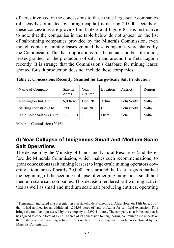of acres involved in the concessions to these three large-scale companies (all heavily dominated by foreign capital) is nearing 20,000. Details of these concessions are provided in Table 2 and Figure 8. It is instructive to note that the companies in the table below do not appear on the list of salt-mining companies provided by the Minerals Commission, even though copies of mining leases granted these companies were shared by the Commission. This has implications for the actual number of mining leases granted for the production of salt in and around the Keta Lagoon recently. It is strange that the Commission's database for mining leases granted for salt production does not include these companies.

**Table 2: Concessions Recently Granted for Large-Scale Salt Production**

| Name of Company           | Size in<br>Acres | Year<br>Granted   | Location | District   | Region |
|---------------------------|------------------|-------------------|----------|------------|--------|
| Kensington Ind. Ltd.      | $6.004.48^{10}$  | Dec' 2011   Adina |          | Ketu South | Volta  |
| Sterling Industries Ltd.  | 790              | Jan' 2011         | (2)      | Ketu North | Volta  |
| Anlo Solar Salt Wks. Ltd. | $11,377.91$ ?    |                   | Dzita    | Keta       | Volta  |

Minerals Commission (2016)

### d) Near Collapse of Indigenous Small and Medium-Scale Salt Operations

The decision by the Ministry of Lands and Natural Resources (and therefore the Minerals Commission, which makes such recommendations) to grant concessions (salt mining leases) to large-scale mining operators covering a total area of nearly 20,000 acres around the Keta Lagoon marked the beginning of the seeming collapse of emerging indigenous small and medium scale salt companies. This decision rendered salt winning activities as well as small and medium scale salt producing entities, operating

<sup>10</sup> Kensington indicated in a presentation at a stakeholders' meeting at Alisa Hotel on 18th June, 2014 that it had applied for an additional 1,294.93 acres of land at Adina for salt field expansion. This brings the total land possessed by the company to 7299.41 acres. The company also indicated that it has agreed to cede a total of 1752.31 acres of its concession to neighboring communities to undertake their fishing and salt winning activities. It is unclear if this arrangement has been sanctioned by the Minerals Commission.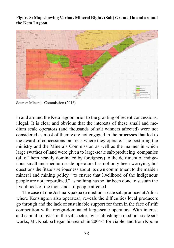**Figure 8: Map showing Various Mineral Rights (Salt) Granted in and around the Keta Lagoon**



Source: Minerals Commission (2016)

in and around the Keta lagoon prior to the granting of recent concessions, illegal. It is clear and obvious that the interests of these small and medium scale operators (and thousands of salt winners affected) were not considered as most of them were not engaged in the processes that led to the award of concessions on areas where they operate. The posturing the ministry and the Minerals Commission as well as the manner in which large swathes of land were given to large-scale salt-producing companies (all of them heavily dominated by foreigners) to the detriment of indigenous small and medium scale operators has not only been worrying, but questions the State's seriousness about its own commitment to the maiden mineral and mining policy, "to ensure that livelihood of the indigenous people are not jeopardized," as nothing has so far been done to sustain the livelihoods of the thousands of people affected.

The case of one Joshua Kpakpa (a medium-scale salt producer at Adina where Kensington also operates), reveals the difficulties local producers go through and the lack of sustainable support for them in the face of stiff competition with foreign-dominated large-scale operators. With interest and capital to invest in the salt sector, by establishing a medium-scale salt works, Mr. Kpakpa began his search in 2004/5 for viable land from Kpone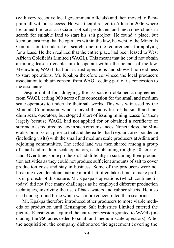(with very receptive local government officials) and then moved to Pampram all without success. He was then directed to Adina in 2006 where he joined the local association of salt producers and met some chiefs in search for suitable land to start his salt project. He found a place, but keen on ensuring that he operates within the law, he went to the Minerals Commission to undertake a search; one of the requirements for applying for a lease. He then realized that the entire place had been leased to West African Goldfields Limited (WAGL). This meant that he could not obtain a mining lease to enable him to operate within the bounds of the law. Meanwhile, WAGL had not started operations and showed no readiness to start operations. Mr. Kpakpa therefore convinced the local producers association to obtain consent from WAGL ceding part of its concession to the association.

Despite initial foot dragging, the association obtained an agreement from WAGL ceding 960 acres of its concession for the small and medium scale operators to undertake their salt works. This was witnessed by the Minerals Commission, which okayed the activities of the small and medium scale operators, but stopped short of issuing mining leases for them largely because WAGL had not applied for or obtained a certificate of surrender as required by law in such circumstances. Nonetheless, the Minerals Commission, prior to that and thereafter, had regular correspondence (including visits) with the small and medium scale producers at Adina and adjoining communities. The ceded land was then shared among a group of small and medium scale operators, each obtaining roughly 50 acres of land. Over time, some producers had difficulty in sustaining their production activities as they could not produce sufficient amounts of salt to cover production costs and stay in business. Some of the producers were not breaking even, let alone making a profit. It often takes time to make profits in projects of this nature. Mr. Kpakpa's operations (which continue till today) did not face many challenges as he employed different production techniques, involving the use of back waters and rubber sheets. He also used underground brine which was more concentrated than sea brine.

Mr. Kpakpa therefore introduced other producers to more viable methods of production until Kensington Salt Industries Limited entered the picture. Kensington acquired the entire concession granted to WAGL (including the 960 acres ceded to small and medium-scale operators). After the acquisition, the company dishonored the agreement covering the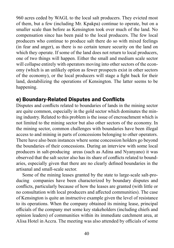960 acres ceded by WAGL to the local salt producers. They evicted most of them, but a few (including Mr. Kpakpa) continue to operate, but on a smaller scale than before as Kensington took over much of the land. No compensation since has been paid to the local producers. The few local producers who continue to produce salt there do so with mixed feelings (in fear and anger), as there is no certain tenure security on the land on which they operate. If some of the land does not return to local producers, one of two things will happen. Either the small and medium scale sector will collapse entirely with operators moving into other sectors of the economy (which is an unlikely option as fewer prospects exist in other sectors of the economy), or the local producers will stage a fight back for their land, destabilizing the operations of Kensington. The latter seems to be happening.

#### e) Boundary-Related Disputes and Conflicts

Disputes and conflicts related to boundaries of lands in the mining sector are quite common, especially in the gold sector which dominates the mining industry. Related to this problem is the issue of encroachment which is not limited to the mining sector but also other sectors of the economy. In the mining sector, common challenges with boundaries have been illegal access to and mining in parts of concessions belonging to other operators. There have also been instances where some concession holders go beyond the boundaries of their concessions. During an interview with some local producers in salt-producing areas (such as Adina and Nyanyano) it was observed that the salt sector also has its share of conflicts related to boundaries, especially given that there are no clearly defined boundaries in the artisanal and small-scale sector.

Some of the mining leases granted by the state to large-scale salt-producing companies have been characterized by boundary disputes and conflicts, particularly because of how the leases are granted (with little or no consultation with local producers and affected communities). The case of Kensington is quite an instructive example given the level of resistance to its operations. When the company obtained its mining lease, principal officials of the company met some key stakeholders (including chiefs and opinion leaders) of communities within its immediate catchment area, at Alisa Hotel in Accra. The meeting was also attended by officials of some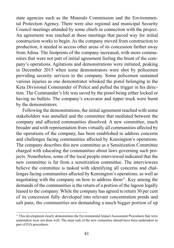state agencies such as the Minerals Commission and the Environmental Protection Agency. There were also regional and municipal Security Council meetings attended by some chiefs in connection with the project. An agreement was reached at these meetings that paved way for initial construction works to begin. As the company moved from construction to production, it needed to access other areas of its concession farther away from Adina. The footprints of the company increased, with more communities that were not part of initial agreement feeling the brunt of the company's operations. Agitations and demonstrations were initiated, peaking in December 2015 when some demonstrators were shot by policemen providing security services to the company. Some policemen sustained various injuries as one demonstrator whisked the pistol belonging to the Keta Divisional Commander of Police and pulled the trigger in his direction. The Commander's life was saved by the pistol being either locked or having no bullets. The company's excavator and tipper truck were burnt by the demonstrators.

Following the demonstrations, the initial agreement reached with some stakeholders was annulled and the committee that mediated between the company and affected communities dissolved. A new committee, much broader and with representation from virtually all communities affected by the operations of the company, has been established to address concerns and challenges facing communities affected by Kensington's operations. The company describes this new committee as a Sensitization Committee charged with educating the communities about laws governing such projects. Nonetheless, some of the local people interviewed indicated that the new committee is far from a sensitization committee. The interviewees believe the committee is tasked with identifying all concerns and challenges facing communities affected by Kensington's operations; as well as negotiating with the company on how to address them<sup>11</sup>. Key among the demands of the communities is the return of a portion of the lagoon legally leased to the company. While the company has agreed to return 30 per cent of its concession fully developed into relevant concentration ponds and salt pans, the communities are demanding a much bigger portion of up

<sup>&</sup>lt;sup>11</sup> This development clearly demonstrates the Environmental Impact Assessment Procedures that were undertaken were not done well. The main task of the new committee should have been undertaken as part of EIA procedures.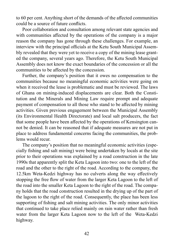to 60 per cent. Anything short of the demands of the affected communities could be a source of future conflicts.

Poor collaboration and consultation among relevant state agencies and with communities affected by the operations of the company is a major reason the company has gone through these challenges. For example, an interview with the principal officials at the Ketu South Municipal Assembly revealed that they were yet to receive a copy of the mining lease granted the company, several years ago. Therefore, the Ketu South Municipal Assembly does not know the exact boundaries of the concession or all the communities to be affected by the concession.

Further, the company's position that it owes no compensation to the communities because no meaningful economic activities were going on when it received the lease is problematic and must be reviewed. The laws of Ghana on mining-induced displacements are clear. Both the Constitution and the Minerals and Mining Law require prompt and adequate payment of compensation to all those who stand to be affected by mining activities. Given previous engagement between the Municipal Assembly (its Environmental Health Directorate) and local salt producers, the fact that some people have been affected by the operations of Kensington cannot be denied. It can be reasoned that if adequate measures are not put in place to address fundamental concerns facing the communities, the problems would recur.

The company's position that no meaningful economic activities (especially fishing and salt mining) were being undertaken by locals at the site prior to their operations was explained by a road construction in the late 1990s that apparently split the Keta Lagoon into two: one to the left of the road and the other to the right of the road. According to the company, the 12.5km Weta-Kedzi highway has no culverts along the way effectively stopping the free flow of water from the larger Keta Lagoon to the left of the road into the smaller Keta Lagoon to the right of the road. The company holds that the road construction resulted in the drying up of the part of the lagoon to the right of the road. Consequently, the place has been less supporting of fishing and salt mining activities. The only minor activities that continued to take place relied mainly on rain water rather than fresh water from the larger Keta Lagoon now to the left of the Weta-Kedzi highway.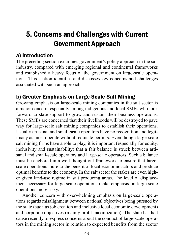# 5. Concerns and Challenges with Current Government Approach

### a) Introduction

The preceding section examines government's policy approach in the salt industry, compared with emerging regional and continental frameworks and established a heavy focus of the government on large-scale operations. This section identifies and discusses key concerns and challenges associated with such an approach.

#### b) Greater Emphasis on Large-Scale Salt Mining

Growing emphasis on large-scale mining companies in the salt sector is a major concern, especially among indigenous and local SMEs who look forward to state support to grow and sustain their business operations. These SMEs are concerned that their livelihoods will be destroyed to pave way for large-scale salt mining companies to establish their operations. Usually artisanal and small-scale operators have no recognition and legitimacy as most operate without requisite permits. Even though large-scale salt mining firms have a role to play, it is important (especially for equity, inclusivity and sustainability) that a fair balance is struck between artisanal and small-scale operators and large-scale operators. Such a balance must be anchored in a well-thought out framework to ensure that largescale operations inure to the benefit of local economic actors and produce optimal benefits to the economy. In the salt sector the stakes are even higher given land-use regime in salt producing areas. The level of displacement necessary for large-scale operations make emphasis on large-scale operations more risky.

Another concern with overwhelming emphasis on large-scale operations regards misalignment between national objectives being pursued by the state (such as job creation and inclusive local economic development) and corporate objectives (mainly profit maximization). The state has had cause recently to express concerns about the conduct of large-scale operators in the mining sector in relation to expected benefits from the sector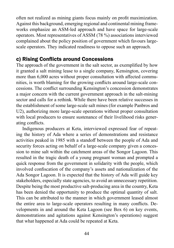often not realized as mining giants focus mainly on profit maximization. Against this background, emerging regional and continental mining frameworks emphasize an ASM-led approach and have space for large-scale operators. Most representatives of ASSM (78 %) associations interviewed complained about the policy position of government which favours largescale operators. They indicated readiness to oppose such an approach.

#### c) Rising Conflicts around Concessions

The approach of the government in the salt sector, as exemplified by how it granted a salt mining lease to a single company, Kensington, covering more than 6,000 acres without proper consultation with affected communities, is worth blaming for the growing conflicts around large-scale concessions. The conflict surrounding Kensington's concession demonstrates a major concern with the current government approach in the salt-mining sector and calls for a rethink. While there have been relative successes in the establishment of some large-scale salt mines (for example Panbros and U2), authorizing more large-scale operations without proper consultation with local producers to ensure sustenance of their livelihood risks generating conflicts.

Indigenous producers at Keta, interviewed expressed fear of repeating the history of Ada where a series of demonstrations and resistance activities peaked in 1985 with a standoff between the people of Ada and security forces acting on behalf of a large-scale company given a concession to mine salt within the catchment areas of the Songor Lagoon. This resulted in the tragic death of a young pregnant woman and prompted a quick response from the government in solidarity with the people, which involved confiscation of the company's assets and nationalization of the Ada Songor Lagoon. It is expected that the history of Ada will guide key stakeholders, especially state agencies, to avoid an unnecessary repetition. Despite being the most productive salt-producing area in the country, Keta has been denied the opportunity to produce the optimal quantity of salt. This can be attributed to the manner in which government leased almost the entire area to large-scale operators resulting in many conflicts. Developments in and around the Keta Lagoon (see Box 6) on key events, demonstrations and agitations against Kensington's operations) suggest that what happened at Ada could be repeated at Keta.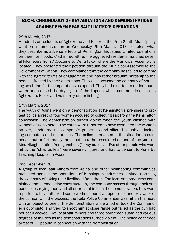#### BOX 6: CHRONOLOGY OF KEY AGITATIONS AND DEMONSTRATIONS AGAINST SEVEN SEAS SALT LIMITED'S OPERATIONS

#### 29th March, 2017

Hundreds of residents of Agbozume and Klikor in the Ketu South Municipality went on a demonstration on Wednesday 29th March, 2017 to protest what they describe as adverse effects of Kensington Industries Limited operations on their livelihoods. Clad in red attire, the aggrieved residents marched several kilometers from Agbozume to Denu-Tokor where the Municipal Assembly is located. They presented their petition through the Municipal Assembly to the Government of Ghana. They complained that the company has failed to comply with the agreed terms of engagement and has rather brought hardship to the people affected by their operations. They also accused the company of not using sea brine for their operations as agreed. They had resorted to underground water and caused the drying up of the Lagoon which communities such as Agbozume, Klikor and Adina rely on for fishing.

#### 17th March, 2017

The youth of Adina went on a demonstration at Kensington's premises to protest police arrest of four women accused of collecting salt from the Kensington concession. The demonstration turned violent when the youth clashed with workers of Kensington. The youth were reported to have assaulted the workers on site, vandalized the company's properties and pilfered valuables, including computers and motorbikes. The police intervened in the situation to calm nerves but unfortunately the situation rather escalated as one of the youth – Atsu Nkegbe – died from gunshots ("stray bullets"). Two other people who were hit by the "stray bullets" were severely injured and had to be sent to Korle Bu Teaching Hospital in Accra.

#### 2nd December, 2015

A group of local salt miners from Adina and other neighboring communities protested against the operations of Kensington Industries Limited, accusing the company of taking their livelihood from them. The local salt producers complained that a road being constructed by the company passes through their salt ponds, destroying them and all efforts put in it. In the demonstration, they were reported to have attacked some workers, burnt a tipper truck and excavator of the company. In the process, the Keta Police Commander was hit on the head with an object by one of the demonstrators while another took the Commander's duty pistol and tried to shoot him at close range but failed as the gun had not been cocked. Five local salt miners and three policemen sustained various degrees of injuries as the demonstrations turned violent. The police confirmed arrest of 16 people in connection with the demonstration.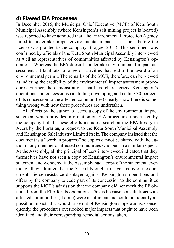#### d) Flawed EIA Processes

In December 2015, the Municipal Chief Executive (MCE) of Ketu South Municipal Assembly (where Kensington's salt mining project is located) was reported to have admitted that "the Environmental Protection Agency failed to undertake proper environmental impact assessment before the license was granted to the company" (Tagoe, 2015). This sentiment was confirmed by officials of the Ketu South Municipal Assembly interviewed as well as representatives of communities affected by Kensington's operations. Whereas the EPA doesn't "undertake environmental impact assessment", it facilitates a range of activities that lead to the award of an environmental permit. The remarks of the MCE, therefore, can be viewed as indicting the credibility of the environmental impact assessment procedures. Further, the demonstrations that have characterized Kensington's operations and concessions (including developing and ceding 30 per cent of its concession to the affected communities) clearly show there is something wrong with how these procedures are undertaken.

All efforts by the author to access a copy of the environmental impact statement which provides information on EIA procedures undertaken by the company failed. These efforts include a search at the EPA library in Accra by the librarian, a request to the Ketu South Municipal Assembly and Kensington Salt Industry Limited itself. The company insisted that the document is a "work in progress" so copies cannot be shared with the author or any member of affected communities who puts in a similar request. At the Assembly, all the principal officers interviewed indicated that they themselves have not seen a copy of Kensington's environmental impact statement and wondered if the Assembly had a copy of the statement, even though they admitted that the Assembly ought to have a copy of the document. Fierce resistance displayed against Kensington's operations and offers by the company to cede part of its concession to the communities supports the MCE's admission that the company did not merit the EP obtained from the EPA for its operations. This is because consultations with affected communities (if done) were insufficient and could not identify all possible impacts that would arise out of Kensington's operations. Consequently, the procedures overlooked major impacts that ought to have been identified and their corresponding remedial actions taken.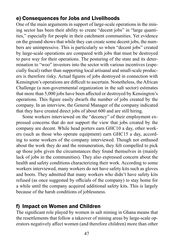### e) Consequences for Jobs and Livelihoods

One of the main arguments in support of large-scale operations in the mining sector has been their ability to create "decent jobs" in "large quantities," especially for people in their catchment communities. Yet evidence on the ground shows that while they can create some decent jobs, the numbers are unimpressive. This is particularly so when "decent jobs" created by large-scale operations are compared with jobs that must be destroyed to pave way for their operations. The posturing of the state and its determination to "woo" investors into the sector with various incentives (especially fiscal) rather than supporting local artisanal and small-scale producers is therefore risky. Actual figures of jobs destroyed in connection with Kensington's operations are difficult to ascertain. Nonetheless, the African Challenge (a non-governmental organization in the salt sector) estimates that more than 5,000 jobs have been affected or destroyed by Kensington's operations. This figure easily dwarfs the number of jobs created by the company. In an interview, the General Manager of the company indicated that they have created direct jobs of about 600 and are still hiring.

Some workers interviewed on the "decency" of their employment expressed concerns that do not support the view that jobs created by the company are decent. While head porters earn GHC10 a day, other workers (such as those who operate equipment) earn GHC15 a day, according to some workers of the company interviewed. Though not enthused about the work they do and the remuneration, they felt compelled to pick up those jobs given the circumstances they found themselves in (mainly lack of jobs in the communities). They also expressed concern about the health and safety conditions characterizing their work. According to some workers interviewed, many workers do not have safety kits such as gloves and boots. They admitted that many workers who didn't have safety kits refused (as once suggested by officials of the company) to stay home for a while until the company acquired additional safety kits. This is largely because of the harsh conditions of joblessness.

### f) Impact on Women and Children

The significant role played by women in salt mining in Ghana means that the resettlements that follow a takeover of mining areas by large-scale operators negatively affect women (and therefore children) more than other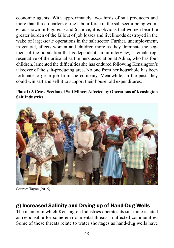economic agents. With approximately two-thirds of salt producers and more than three-quarters of the labour force in the salt sector being women as shown in Figures 5 and 6 above, it is obvious that women bear the greater burden of the fallout of job losses and livelihoods destroyed in the wake of large-scale operations in the salt sector. Further, unemployment, in general, affects women and children more as they dominate the segment of the population that is dependent. In an interview, a female representative of the artisanal salt miners association at Adina, who has four children, lamented the difficulties she has endured following Kensington's takeover of the salt-producing area. No one from her household has been fortunate to get a job from the company. Meanwhile, in the past, they could win salt and sell it to support their household expenditures.

#### **Plate 1: A Cross-Section of Salt Miners Affected by Operations of Kensington Salt Industries**



Source: Tagoe (2015)

#### g) Increased Salinity and Drying up of Hand-Dug Wells

The manner in which Kensington Industries operates its salt mine is cited as responsible for some environmental threats in affected communities. Some of these threats relate to water shortages as hand-dug wells have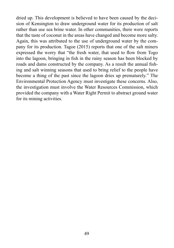dried up. This development is believed to have been caused by the decision of Kensington to draw underground water for its production of salt rather than use sea brine water. In other communities, there were reports that the taste of coconut in the areas have changed and become more salty. Again, this was attributed to the use of underground water by the company for its production. Tagoe (2015) reports that one of the salt miners expressed the worry that "the fresh water, that used to flow from Togo into the lagoon, bringing in fish in the rainy season has been blocked by roads and dams constructed by the company. As a result the annual fishing and salt winning seasons that used to bring relief to the people have become a thing of the past since the lagoon dries up prematurely." The Environmental Protection Agency must investigate these concerns. Also, the investigation must involve the Water Resources Commission, which provided the company with a Water Right Permit to abstract ground water for its mining activities.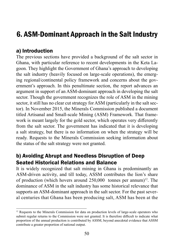## 6. ASM-Dominant Approach in the Salt Industry

#### a) Introduction

The previous sections have provided a background of the salt sector in Ghana, with particular reference to recent developments in the Keta Lagoon. They highlight the Government of Ghana's approach to developing the salt industry (heavily focused on large-scale operations), the emerging regional/continental policy framework and concerns about the government's approach. In this penultimate section, the report advances an argument in support of an ASM-dominant approach in developing the salt sector. Though the government recognizes the role of ASM in the mining sector, it still has no clear cut strategy for ASM (particularly in the salt sector). In November 2015, the Minerals Commission published a document titled Artisanal and Small-scale Mining (ASM) Framework. That framework is meant largely for the gold sector, which operates very differently from the salt sector. The government has indicated that it is developing a salt strategy, but there is no information on when the strategy will be ready. Requests to the Minerals Commission seeking information about the status of the salt strategy were not granted.

#### b) Avoiding Abrupt and Needless Disruption of Deep Seated Historical Relations and Balance

It is widely recognized that salt mining in Ghana is predominantly an ASM-driven activity, and till today, ASSM contributes the lion's share of production (which hovers around  $250,000$  tonnes per annum)<sup>12</sup>. The dominance of ASM in the salt industry has some historical relevance that supports an ASM-dominant approach in the salt sector. For the past several centuries that Ghana has been producing salt, ASM has been at the

 $12$  Requests to the Minerals Commission for data on production levels of large-scale operators who submit regular returns to the Commission were not granted. It is therefore difficult to indicate what proportion of the annual production is contributed by ASSM, beyond anecdotal evidence that ASSM contribute a greater proportion of national output.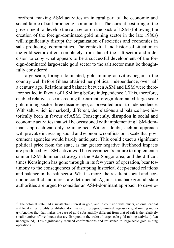forefront; making ASM activities an integral part of the economic and social fabric of salt-producing communities. The current posturing of the government to develop the salt sector on the back of LSM (following the creation of the foreign-dominated gold mining sector in the late 1980s) will significantly disrupt the organization of societies and economies in salt- producing communities. The contextual and historical situation in the gold sector differs completely from that of the salt sector and a decision to copy what appears to be a successful development of the foreign-dominated large-scale gold sector to the salt sector must be thoughtfully considered.

Large-scale, foreign-dominated, gold mining activities began in the country well before Ghana attained her political independence, over half a century ago. Relations and balance between ASM and LSM were therefore settled in favour of LSM long before independence<sup>13</sup>. This, therefore, enabled relative ease in creating the current foreign-dominated large-scale gold mining sector three decades ago; as prevailed prior to independence. With salt, which is markedly different, the relations and balance have historically been in favour of ASM. Consequently, disruption in social and economic activities that will be occasioned with implementing LSM-dominant approach can only be imagined. Without doubt, such an approach will provoke increasing social and economic conflicts on a scale that government agencies would hardly anticipate. This could exact a significant political price from the state, as far greater negative livelihood impacts are produced by LSM activities. The government's failure to implement a similar LSM-dominant strategy in the Ada Songor area, and the difficult times Kensington has gone through in its few years of operation, bear testimony to the consequences of disrupting historical deep-seated relations and balance in the salt sector. What is more, the resultant social and economic conflict and unrest are detrimental. Against this background, state authorities are urged to consider an ASM-dominant approach to develo-

<sup>&</sup>lt;sup>13</sup> The colonial state had a substantial interest in gold, and in collusion with chiefs, colonial capital and local elites forcibly established dominance of foreign-dominated large-scale gold mining industry. Another fact that makes the case of gold substantially different from that of salt is the relatively small number of livelihoods that are disrupted in the wake of large-scale gold mining activity (often underground). This significantly reduced confrontations and resistance to large-scale gold mining operations.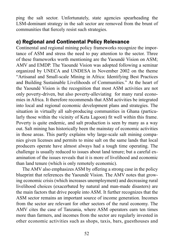ping the salt sector. Unfortunately, state agencies spearheading the LSM-dominant strategy in the salt sector are removed from the brunt of communities that fiercely resist such strategies.

#### c) Regional and Continental Policy Relevance

Continental and regional mining policy frameworks recognize the importance of ASM and stress the need to pay attention to the sector. Three of these frameworks worth mentioning are the Yaoundé Vision on ASM; AMV and EMDP. The Yaoundé Vision was adopted following a seminar organized by UNECA and UNDESA in November 2002 on the theme "Artisanal and Small-scale Mining in Africa: Identifying Best Practices and Building Sustainable Livelihoods of Communities." At the heart of the Yaoundé Vision is the recognition that most ASM activities are not only poverty-driven, but also poverty-alleviating for many rural economies in Africa. It therefore recommends that ASM activities be integrated into local and regional economic development plans and strategies. The situation in virtually all salt-producing communities in Ghana (particularly those within the vicinity of Keta Lagoon) fit well within this frame. Poverty is quite endemic, and salt production is seen by many as a way out. Salt mining has historically been the mainstay of economic activities in those areas. This partly explains why large-scale salt mining companies given licenses and permits to mine salt on the same lands that local producers operate have almost always had a tough time operating. The challenge is usually reduced to issues about land tenure; but a careful examination of the issues reveals that it is more of livelihood and economic than land tenure (which is only remotely economic).

The AMV also emphasizes ASM by offering a strong case in the policy blueprint that references the Yaoundé Vision. The AMV notes that growing economic crisis (which increases unemployment) and decreasing rural livelihood choices (exacerbated by natural and man-made disasters) are the main factors that drive people into ASM. It further recognizes that the ASM sector remains an important source of income generation. Incomes from the sector are relevant for other sectors of the rural economy. The AMV cites the case of Tanzania, where ASM operators earn ten times more than farmers, and incomes from the sector are regularly invested in other economic activities such as shops, taxis, bars, guesthouses and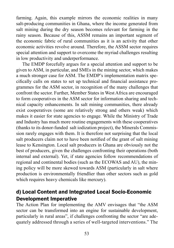farming. Again, this example mirrors the economic realities in many salt-producing communities in Ghana, where the income generated from salt mining during the dry season becomes relevant for farming in the rainy season. Because of this, ASSM remains an important segment of the economic fabric of rural communities as it is an activity that other economic activities revolve around. Therefore, the ASSM sector requires special attention and support to overcome the myriad challenges resulting in low productivity and underperformance.

The EMDP forcefully argues for a special attention and support to be given to ASM, in particular, and SMEs in the mining sector, which makes a much stronger case for ASM. The EMDP's implementation matrix specifically calls on states to set up technical and financial assistance programmes for the ASM sector, in recognition of the many challenges that confront the sector. Further, Member States in West Africa are encouraged to form cooperatives in the ASM sector for information sharing and technical capacity enhancements. In salt mining communities, there already exist cooperatives (some are relatively strong and others weak) which makes it easier for state agencies to engage. While the Ministry of Trade and Industry has much more routine engagements with these cooperatives (thanks to its donor-funded salt iodization project), the Minerals Commission rarely engages with them. It is therefore not surprising that the local salt producers claim not to have been notified of the grant of salt mining lease to Kensington. Local salt producers in Ghana are obviously not the best of producers, given the challenges confronting their operations (both internal and external). Yet, if state agencies follow recommendations of regional and continental bodies (such as the ECOWAS and AU), the mining policy will be more skewed towards ASM (particularly in salt where production is environmentally friendlier than other sectors such as gold which requires heavy chemicals like mercury).

#### d) Local Content and Integrated Local Socio-Economic Development Imperative

The Action Plan for implementing the AMV envisages that "the ASM sector can be transformed into an engine for sustainable development, particularly in rural areas", if challenges confronting the sector "are adequately addressed through a series of well-targeted interventions." The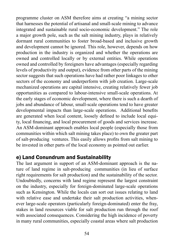programme cluster on ASM therefore aims at creating "a mining sector that harnesses the potential of artisanal and small-scale mining to advance integrated and sustainable rural socio-economic development." The role a major growth pole, such as the salt mining industry, plays in relatively dormant rural communities to foster broad-based and inclusive growth and development cannot be ignored. This role, however, depends on how production in the industry is organized and whether the operations are owned and controlled locally or by external entities. While operations owned and controlled by foreigners have advantages (especially regarding levels of productivity and output), evidence from other parts of the mining sector suggests that such operations have had rather poor linkages to other sectors of the economy and underperform with job creation. Large-scale mechanized operations are capital intensive, creating relatively fewer job opportunities as compared to labour-intensive small-scale operations. At the early stages of economic development, where there is such a dearth of jobs and abundance of labour, small-scale operations tend to have greater developmental impacts than large-scale operations. Additional benefits are generated when local content, loosely defined to include local equity, local financing, and local procurement of goods and services increase. An ASM-dominant approach enables local people (especially those from communities within which salt mining takes place) to own the greater part of salt-producing ventures. This easily allows profits from salt mining to be invested in other parts of the local economy as pointed out earlier.

#### e) Land Conundrum and Sustainability

The last argument in support of an ASM-dominant approach is the nature of land regime in salt-producing communities (in lieu of surface right requirements for salt production) and the sustainability of the sector. Undoubtedly, concerns with land regime represent the largest constraint on the industry, especially for foreign-dominated large-scale operations such as Kensington. While the locals can sort out issues relating to land with relative ease and undertake their salt production activities, whenever large-scale operators (particularly foreign-dominated) enter the fray, stakes in land resources viable for salt production run through the roof with associated consequences. Considering the high incidence of poverty in many rural communities, especially coastal areas where salt production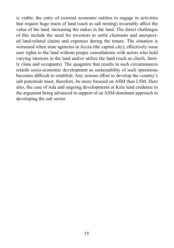is viable, the entry of external economic entities to engage in activities that require huge tracts of land (such as salt mining) invariably affect the value of the land, increasing the stakes in the land. The direct challenges of this include the need for investors to settle claimants and unexpected land-related claims and expenses during the tenure. The situation is worsened when state agencies in Accra (the capital city), effectively issue user rights to the land without proper consultations with actors who hold varying interests in the land and/or utilize the land (such as chiefs, family clans and occupants). The quagmire that results in such circumstances retards socio-economic development as sustainability of such operations becomes difficult to establish. Any serious effort to develop the country's salt potentials must, therefore, be more focused on ASM than LSM. Here also, the case of Ada and ongoing developments at Keta lend credence to the argument being advanced in support of an ASM-dominant approach in developing the salt sector.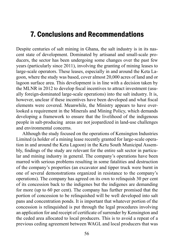### 7. Conclusions and Recommendations

Despite centuries of salt mining in Ghana, the salt industry is in its nascent state of development. Dominated by artisanal and small-scale producers, the sector has been undergoing some changes over the past few years (particularly since 2011), involving the granting of mining leases to large-scale operators. These leases, especially in and around the Keta Lagoon, where the study was based, cover almost 20,000 acres of land and or lagoon surface area. This development is in line with a decision taken by the MLNR in 2012 to develop fiscal incentives to attract investment (usually foreign-dominated large-scale operations) into the salt industry. It is, however, unclear if these incentives have been developed and what fiscal elements were covered. Meanwhile, the Ministry appears to have overlooked a requirement in the Minerals and Mining Policy, which demands developing a framework to ensure that the livelihood of the indigenous people in salt-producing areas are not jeopardized in land-use challenges and environmental concerns.

Although the study focused on the operations of Kensington Industries Limited (a holder of a mining lease recently granted for large-scale operation in and around the Keta Lagoon) in the Ketu South Municipal Assembly, findings of the study are relevant for the entire salt sector in particular and mining industry in general. The company's operations have been marred with serious problems resulting in some fatalities and destruction of the company's properties (an excavator and tipper truck were burnt in one of several demonstrations organized in resistance to the company's operations). The company has agreed on its own to relinquish 30 per cent of its concession back to the indigenes but the indigenes are demanding for more (up to 60 per cent). The company has further promised that the portion of concession to be relinquished will be well developed into salt pans and concentration ponds. It is important that whatever portion of the concession is relinquished is put through the legal procedures involving an application for and receipt of certificate of surrender by Kensington and the ceded area allocated to local producers. This is to avoid a repeat of a previous ceding agreement between WAGL and local producers that was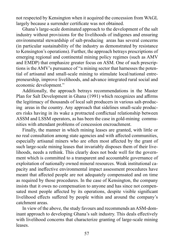not respected by Kensington when it acquired the concession from WAGL largely because a surrender certificate was not obtained.

Ghana's large-scale dominated approach to the development of the salt industry without provisions for the livelihoods of indigenes and ensuring environmental stewardship of salt-producing areas has several concerns (in particular sustainability of the industry as demonstrated by resistance to Kensington's operations). Further, the approach betrays prescriptions of emerging regional and continental mining policy regimes (such as AMV and EMDP) that emphasize greater focus on ASM. One of such prescriptions is the AMV's pursuance of "a mining sector that harnesses the potential of artisanal and small-scale mining to stimulate local/national entrepreneurship, improve livelihoods, and advance integrated rural social and economic development."

Additionally, the approach betrays recommendations in the Master Plan for Salt Development in Ghana (1991) which recognizes and affirms the legitimacy of thousands of local salt producers in various salt-producing areas in the country. Any approach that sidelines small-scale producers risks having in its wake a protracted conflictual relationship between ASSM and LSSM operators, as has been the case in gold-mining communities with attendant problems of concession encroachment.

Finally, the manner in which mining leases are granted, with little or no real consultation among state agencies and with affected communities, especially artisanal miners who are often most affected by the grant of such large-scale mining leases that invariably disposes them of their livelihoods, needs a rethink. This clearly does not bode well for the government which is committed to a transparent and accountable governance of exploitation of nationally owned mineral resources. Weak institutional capacity and ineffective environmental impact assessment procedures have meant that affected people are not adequately compensated and on time as required by those procedures. In the case of Kensington, the company insists that it owes no compensation to anyone and has since not compensated most people affected by its operations, despite visible significant livelihood effects suffered by people within and around the company's catchment areas.

In view of the above, the study favours and recommends an ASM-dominant approach to developing Ghana's salt industry. This deals effectively with livelihood concerns that characterize granting of large-scale mining leases.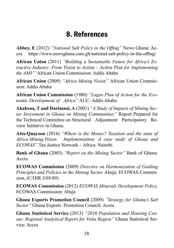## 8. References

**Abbey, E** (2012) *"National Salt Policy in the Offing"* News Ghana: Accra https://www.newsghana.com.gh/national-salt-policy-in-the-offing/

**African Union** (2011) *"Building a Sustainable Future for Africa's Extractive Industry: From Vision to Action – Action Plan for Implementing the AMV"* African Union Commission: Addis Ababa

**African Union** (2009) *"Africa Mining Vision"* African Union Commission: Addis Ababa

**African Union Commission** (1980) *"Lagos Plan of Action for the Economic Development of Africa"* AUC: Addis Ababa

**Akabzaa, T and Darimani, A** (2001) *"A Study of Impacts of Mining Sector Investment in Ghana on Mining Communities"* Report Prepared for the Technical Committee on Structural Adjustment Participatory Review Initiative in Ghana.

**Atta-Quayson** (2016) *"Where is the Money? Taxation and the state of Africa Mining Vision Implementation: A case study of Ghana and ECOWAS"* Tax Justice Network – Africa: Nairobi

**Bank of Ghana** (2003) *"Report on the Mining Sector"* Bank of Ghana: Accra

**ECOWAS Commission** (2009) *Directive on Harmonization of Guiding Principles and Policies in the Mining Sector.* Abuja: ECOWAS Commission, (C/DIR.3/05/09)

**ECOWAS Commission** (2012) *ECOWAS Minerals Development Policy.*  ECOWAS Commission: Abuja

**Ghana Exports Promotion Council** (2009) *"Strategy for Ghana's Salt Sector"* Ghana Exports Promotion Council: Accra

**Ghana Statistical Service** (2013) *"2010 Population and Housing Census: Regional Analytical Report for Volta Region"* Ghana Statistical Service: Accra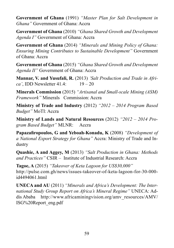**Government of Ghana** (1991) *"Master Plan for Salt Development in Ghana"* Government of Ghana: Accra

**Government of Ghana** (2010) *"Ghana Shared Growth and Development Agenda I"* Government of Ghana: Accra

**Government of Ghana** (2014) *"Minerals and Mining Policy of Ghana: Ensuring Mining Contributes to Sustainable Development"* Government of Ghana: Accra

**Government of Ghana** (2015) *"Ghana Shared Growth and Development Agenda II"* Government of Ghana: Accra

**Mannar, V. and Yusufali, R.** (2013) *'Salt Production and Trade in Africa'*, IDD Newsletter 41.4: 19 – 20

**Minerals Commission** (2015) *"Artisanal and Small-scale Mining (ASM) Framework"* Minerals Commission: Accra

**Ministry of Trade and Industry** (2012) *"2012 – 2014 Program Based Budget"* MoTI: Accra

**Ministry of Lands and Natural Resources** (2012) *"2012 – 2014 Program Based Budget"* MLNR: Accra

**Papazafiropoulos, G and Yeboah-Konadu, K** (2008) *"Development of a National Export Strategy for Ghana"* Accra: Ministry of Trade and Industry

**Quashie, A and Aggey, M** (2013) *"Salt Production in Ghana: Methods and Practices"* CSIR – Institute of Industrial Research: Accra

**Tagoe, A** (2015) *"Takeover of Keta Lagoon for US\$30,000"* http://pulse.com.gh/news/issues-takeover-of-keta-lagoon-for-30-000 id4494061.html

**UNECA and AU** (2011) *"Minerals and Africa's Development: The International Study Group Report on Africa's Mineral Regime"* UNECA: Addis Ababa http://www.africaminingvision.org/amv\_resources/AMV/ ISG%20Report\_eng.pdf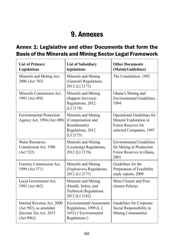## 9. Annexes

### Annex 1: Legislative and other Documents that form the Basis of the Minerals and Mining Sector Legal Framework

| <b>List of Primary</b><br>Legislations                                                         | <b>List of Subsidiary</b><br>legislations                                                            | <b>Other Documents</b><br>(MainlyGuidelines)                                                            |
|------------------------------------------------------------------------------------------------|------------------------------------------------------------------------------------------------------|---------------------------------------------------------------------------------------------------------|
| Minerals and Mining Act,<br>2006 (Act 703)                                                     | Minerals and Mining<br>(General) Regulations,<br>2012 (LI 2173)                                      | The Constitution, 1992                                                                                  |
| Minerals Commission Act,<br>1993 (Act 450)                                                     | Minerals and Mining<br>(Support Services)<br>Regulations, 2012<br>(LI 2174)                          | Ghana's Mining and<br>Environmental Guidelines,<br>1994                                                 |
| <b>Environmental Protection</b><br>Agency Act, 1994 (Act 490)                                  | Minerals and Mining<br>(Compensation and<br>Resettlement)<br>Regulations, 2012<br>(LI 2175)          | Operational Guidelines for<br>Mineral Exploration in<br>Forest Reserves for<br>selected Companies, 1997 |
| <b>Water Resources</b><br>Commission Act, 1996<br>(Act 522)                                    | Minerals and Mining<br>(Licensing) Regulations,<br>2012 (LI 2176)                                    | <b>Environmental Guidelines</b><br>for Mining in Production<br>Forest Reserves in Ghana,<br>2001        |
| Forestry Commission Act,<br>1999 (Act 571)                                                     | Minerals and Mining<br>(Explosives) Regulations,<br>2012 (LI 2177)                                   | Guidelines for the<br>Preparation of Feasibility<br>study reports, 2009                                 |
| Local Government Act,<br>1993 (Act 462)                                                        | Minerals and Mining<br>(Health, Safety, and<br>Technical) Regulations,<br>2012 (LI 2182)             | Mine Closure and Post-<br>closure Policies                                                              |
| Internal Revenue Act, 2000<br>(Act 592), as amended<br>[Income Tax Act, 2015]<br>$(Act 896)$ ] | <b>Environmental Assessment</b><br>Regulations, 1999 (L.I.<br>1652) ('Environmental<br>Regulations') | Guidelines for Corporate<br>Social Responsibility in<br>Mining Communities                              |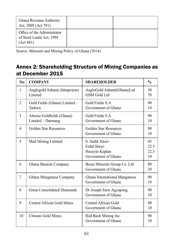| Ghana Revenue Authority<br>Act, 2009 (Act 791)                       |  |
|----------------------------------------------------------------------|--|
| Office of the Administrator<br>of Stool Lands Act, 1994<br>(Act 481) |  |

Source: Minerals and Mining Policy of Ghana (2014)

### Annex 2: Shareholding Structure of Mining Companies as at December 2015

| No.            | <b>COMPANY</b>                                 | <b>SHAREHOLDER</b>                                                       | $\frac{0}{0}$            |
|----------------|------------------------------------------------|--------------------------------------------------------------------------|--------------------------|
| $\mathbf{1}$   | Anglogold Ashanti (Iduapriem)<br>Limited       | AngloGold Ashanti(Ghana)Ltd<br><b>GSM</b> Gold Ltd                       | 30<br>70                 |
| $\overline{2}$ | Gold Fields (Ghana) Limited -<br>Tarkwa        | Gold Fields S.A.<br>Government of Ghana                                  | 90<br>10                 |
| 3              | Abosso Goldfields (Ghana)<br>Limited - Darmang | Gold Fields S.A<br>Government of Ghana                                   | 90<br>10                 |
| 4              | Golden Star Resources                          | Golden Star Resources<br>Government of Ghana                             | 90<br>10                 |
| 5              | Med Mining Limited                             | S. Sadik Sitoci<br>Erdal Sitoci<br>Huseyin Kaplan<br>Government of Ghana | 45<br>22.5<br>22.5<br>10 |
| 6              | Ghana Bauxite Company                          | Bosai Minerals Group Co. Ltd<br>Government of Ghana                      | 80<br>20                 |
| 7              | Ghana Manganese Company                        | Ghana International Manganese<br>Government of Ghana                     | 90<br>10                 |
| 8              | <b>Great Consolidated Diamonds</b>             | Dr Joseph Siaw Agyapong<br>Government of Ghana                           | 90<br>10                 |
| 9              | Central African Gold Mines                     | Central African Gold<br>Government of Ghana                              | 90<br>10                 |
| 10             | Chirano Gold Mines                             | Red Back Mining Inc<br>Government of Ghana                               | 90<br>10                 |